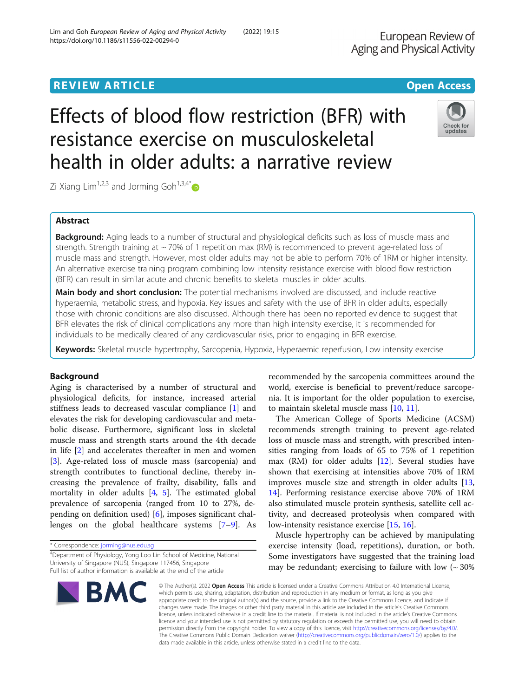# **REVIEW ARTICLE External Structure Control Control Control Control Control Control Control Control Control Control Control Control Control Control Control Control Control Control Control Control Control Control Control C**

# Effects of blood flow restriction (BFR) with resistance exercise on musculoskeletal health in older adults: a narrative review

Zi Xiang Lim<sup>1,2,3</sup> and Jorming Goh<sup>1,3,4[\\*](http://orcid.org/0000-0002-6250-8251)</sup>

# Abstract

**Background:** Aging leads to a number of structural and physiological deficits such as loss of muscle mass and strength. Strength training at  $\sim$  70% of 1 repetition max (RM) is recommended to prevent age-related loss of muscle mass and strength. However, most older adults may not be able to perform 70% of 1RM or higher intensity. An alternative exercise training program combining low intensity resistance exercise with blood flow restriction (BFR) can result in similar acute and chronic benefits to skeletal muscles in older adults.

Main body and short conclusion: The potential mechanisms involved are discussed, and include reactive hyperaemia, metabolic stress, and hypoxia. Key issues and safety with the use of BFR in older adults, especially those with chronic conditions are also discussed. Although there has been no reported evidence to suggest that BFR elevates the risk of clinical complications any more than high intensity exercise, it is recommended for individuals to be medically cleared of any cardiovascular risks, prior to engaging in BFR exercise.

Keywords: Skeletal muscle hypertrophy, Sarcopenia, Hypoxia, Hyperaemic reperfusion, Low intensity exercise

# Background

Aging is characterised by a number of structural and physiological deficits, for instance, increased arterial stiffness leads to decreased vascular compliance [[1](#page-12-0)] and elevates the risk for developing cardiovascular and metabolic disease. Furthermore, significant loss in skeletal muscle mass and strength starts around the 4th decade in life [\[2](#page-12-0)] and accelerates thereafter in men and women [[3\]](#page-12-0). Age-related loss of muscle mass (sarcopenia) and strength contributes to functional decline, thereby increasing the prevalence of frailty, disability, falls and mortality in older adults  $[4, 5]$  $[4, 5]$  $[4, 5]$  $[4, 5]$  $[4, 5]$ . The estimated global prevalence of sarcopenia (ranged from 10 to 27%, depending on definition used) [\[6](#page-12-0)], imposes significant challenges on the global healthcare systems [\[7](#page-12-0)–[9](#page-12-0)]. As

\* Correspondence: [jorming@nus.edu.sg](mailto:jorming@nus.edu.sg)

4 Department of Physiology, Yong Loo Lin School of Medicine, National University of Singapore (NUS), Singapore 117456, Singapore Full list of author information is available at the end of the article

recommended by the sarcopenia committees around the world, exercise is beneficial to prevent/reduce sarcopenia. It is important for the older population to exercise, to maintain skeletal muscle mass [[10,](#page-12-0) [11\]](#page-12-0).

The American College of Sports Medicine (ACSM) recommends strength training to prevent age-related loss of muscle mass and strength, with prescribed intensities ranging from loads of 65 to 75% of 1 repetition max (RM) for older adults [\[12](#page-12-0)]. Several studies have shown that exercising at intensities above 70% of 1RM improves muscle size and strength in older adults [[13](#page-12-0), [14\]](#page-12-0). Performing resistance exercise above 70% of 1RM also stimulated muscle protein synthesis, satellite cell activity, and decreased proteolysis when compared with low-intensity resistance exercise [\[15,](#page-12-0) [16\]](#page-12-0).

Muscle hypertrophy can be achieved by manipulating exercise intensity (load, repetitions), duration, or both. Some investigators have suggested that the training load may be redundant; exercising to failure with low  $($   $\sim$  30%

© The Author(s), 2022 **Open Access** This article is licensed under a Creative Commons Attribution 4.0 International License, which permits use, sharing, adaptation, distribution and reproduction in any medium or format, as long as you give appropriate credit to the original author(s) and the source, provide a link to the Creative Commons licence, and indicate if changes were made. The images or other third party material in this article are included in the article's Creative Commons licence, unless indicated otherwise in a credit line to the material. If material is not included in the article's Creative Commons licence and your intended use is not permitted by statutory regulation or exceeds the permitted use, you will need to obtain permission directly from the copyright holder. To view a copy of this licence, visit [http://creativecommons.org/licenses/by/4.0/.](http://creativecommons.org/licenses/by/4.0/) The Creative Commons Public Domain Dedication waiver [\(http://creativecommons.org/publicdomain/zero/1.0/](http://creativecommons.org/publicdomain/zero/1.0/)) applies to the data made available in this article, unless otherwise stated in a credit line to the data.

**BMC** 



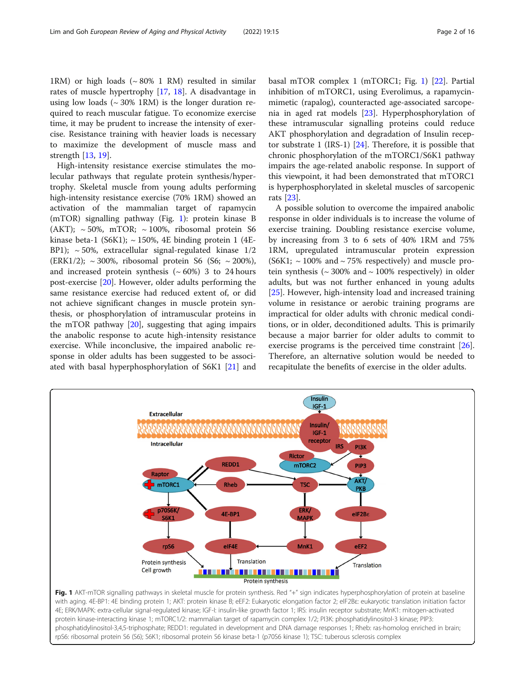1RM) or high loads  $({\sim 80\%~1~RM})$  resulted in similar rates of muscle hypertrophy [\[17,](#page-12-0) [18\]](#page-12-0). A disadvantage in using low loads  $({\sim} 30\%$  1RM) is the longer duration required to reach muscular fatigue. To economize exercise time, it may be prudent to increase the intensity of exercise. Resistance training with heavier loads is necessary to maximize the development of muscle mass and strength [\[13](#page-12-0), [19](#page-12-0)].

High-intensity resistance exercise stimulates the molecular pathways that regulate protein synthesis/hypertrophy. Skeletal muscle from young adults performing high-intensity resistance exercise (70% 1RM) showed an activation of the mammalian target of rapamycin (mTOR) signalling pathway (Fig. 1): protein kinase B (AKT);  $\sim$  50%, mTOR;  $\sim$  100%, ribosomal protein S6 kinase beta-1 (S6K1);  $\sim$  150%, 4E binding protein 1 (4E-BP1);  $\sim$  50%, extracellular signal-regulated kinase 1/2 (ERK1/2);  $\sim$  300%, ribosomal protein S6 (S6;  $\sim$  200%), and increased protein synthesis  $({\sim}60\%)$  3 to 24 hours post-exercise [\[20](#page-12-0)]. However, older adults performing the same resistance exercise had reduced extent of, or did not achieve significant changes in muscle protein synthesis, or phosphorylation of intramuscular proteins in the mTOR pathway [[20](#page-12-0)], suggesting that aging impairs the anabolic response to acute high-intensity resistance exercise. While inconclusive, the impaired anabolic response in older adults has been suggested to be associated with basal hyperphosphorylation of S6K1 [\[21](#page-12-0)] and basal mTOR complex 1 (mTORC1; Fig. 1) [[22\]](#page-12-0). Partial inhibition of mTORC1, using Everolimus, a rapamycinmimetic (rapalog), counteracted age-associated sarcopenia in aged rat models [\[23](#page-12-0)]. Hyperphosphorylation of these intramuscular signalling proteins could reduce AKT phosphorylation and degradation of Insulin receptor substrate 1 (IRS-1) [[24\]](#page-12-0). Therefore, it is possible that chronic phosphorylation of the mTORC1/S6K1 pathway impairs the age-related anabolic response. In support of this viewpoint, it had been demonstrated that mTORC1 is hyperphosphorylated in skeletal muscles of sarcopenic rats [[23\]](#page-12-0).

A possible solution to overcome the impaired anabolic response in older individuals is to increase the volume of exercise training. Doubling resistance exercise volume, by increasing from 3 to 6 sets of 40% 1RM and 75% 1RM, upregulated intramuscular protein expression  $(S6K1; \sim 100\%$  and  $\sim 75\%$  respectively) and muscle protein synthesis ( $\sim$  300% and  $\sim$  100% respectively) in older adults, but was not further enhanced in young adults [[25\]](#page-12-0). However, high-intensity load and increased training volume in resistance or aerobic training programs are impractical for older adults with chronic medical conditions, or in older, deconditioned adults. This is primarily because a major barrier for older adults to commit to exercise programs is the perceived time constraint [\[26](#page-12-0)]. Therefore, an alternative solution would be needed to recapitulate the benefits of exercise in the older adults.



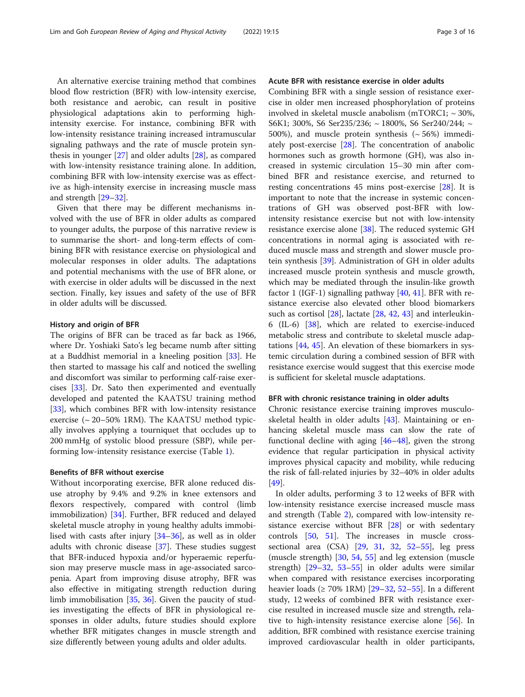An alternative exercise training method that combines blood flow restriction (BFR) with low-intensity exercise, both resistance and aerobic, can result in positive physiological adaptations akin to performing highintensity exercise. For instance, combining BFR with low-intensity resistance training increased intramuscular signaling pathways and the rate of muscle protein synthesis in younger [[27](#page-12-0)] and older adults [[28\]](#page-12-0), as compared with low-intensity resistance training alone. In addition, combining BFR with low-intensity exercise was as effective as high-intensity exercise in increasing muscle mass and strength [\[29](#page-13-0)–[32\]](#page-13-0).

Given that there may be different mechanisms involved with the use of BFR in older adults as compared to younger adults, the purpose of this narrative review is to summarise the short- and long-term effects of combining BFR with resistance exercise on physiological and molecular responses in older adults. The adaptations and potential mechanisms with the use of BFR alone, or with exercise in older adults will be discussed in the next section. Finally, key issues and safety of the use of BFR in older adults will be discussed.

#### History and origin of BFR

The origins of BFR can be traced as far back as 1966, where Dr. Yoshiaki Sato's leg became numb after sitting at a Buddhist memorial in a kneeling position [\[33](#page-13-0)]. He then started to massage his calf and noticed the swelling and discomfort was similar to performing calf-raise exercises [[33\]](#page-13-0). Dr. Sato then experimented and eventually developed and patented the KAATSU training method [[33\]](#page-13-0), which combines BFR with low-intensity resistance exercise (~ 20–50% 1RM). The KAATSU method typically involves applying a tourniquet that occludes up to 200 mmHg of systolic blood pressure (SBP), while performing low-intensity resistance exercise (Table [1](#page-3-0)).

#### Benefits of BFR without exercise

Without incorporating exercise, BFR alone reduced disuse atrophy by 9.4% and 9.2% in knee extensors and flexors respectively, compared with control (limb immobilization) [[34](#page-13-0)]. Further, BFR reduced and delayed skeletal muscle atrophy in young healthy adults immobilised with casts after injury [\[34](#page-13-0)–[36\]](#page-13-0), as well as in older adults with chronic disease [\[37](#page-13-0)]. These studies suggest that BFR-induced hypoxia and/or hyperaemic reperfusion may preserve muscle mass in age-associated sarcopenia. Apart from improving disuse atrophy, BFR was also effective in mitigating strength reduction during limb immobilisation [[35](#page-13-0), [36\]](#page-13-0). Given the paucity of studies investigating the effects of BFR in physiological responses in older adults, future studies should explore whether BFR mitigates changes in muscle strength and size differently between young adults and older adults.

### Acute BFR with resistance exercise in older adults

Combining BFR with a single session of resistance exercise in older men increased phosphorylation of proteins involved in skeletal muscle anabolism (mTORC1;  $\sim$  30%, S6K1; 300%, S6 Ser235/236; ~ 1800%, S6 Ser240/244; ~ 500%), and muscle protein synthesis  $({\sim} 56%)$  immediately post-exercise [[28](#page-12-0)]. The concentration of anabolic hormones such as growth hormone (GH), was also increased in systemic circulation 15–30 min after combined BFR and resistance exercise, and returned to resting concentrations 45 mins post-exercise [[28](#page-12-0)]. It is important to note that the increase in systemic concentrations of GH was observed post-BFR with lowintensity resistance exercise but not with low-intensity resistance exercise alone [[38\]](#page-13-0). The reduced systemic GH concentrations in normal aging is associated with reduced muscle mass and strength and slower muscle protein synthesis [\[39](#page-13-0)]. Administration of GH in older adults increased muscle protein synthesis and muscle growth, which may be mediated through the insulin-like growth factor 1 (IGF-1) signalling pathway [[40](#page-13-0), [41](#page-13-0)]. BFR with resistance exercise also elevated other blood biomarkers such as cortisol [[28\]](#page-12-0), lactate [[28,](#page-12-0) [42,](#page-13-0) [43](#page-13-0)] and interleukin-6 (IL-6) [\[38](#page-13-0)], which are related to exercise-induced metabolic stress and contribute to skeletal muscle adaptations [[44](#page-13-0), [45\]](#page-13-0). An elevation of these biomarkers in systemic circulation during a combined session of BFR with resistance exercise would suggest that this exercise mode is sufficient for skeletal muscle adaptations.

#### BFR with chronic resistance training in older adults

Chronic resistance exercise training improves musculoskeletal health in older adults [\[43](#page-13-0)]. Maintaining or enhancing skeletal muscle mass can slow the rate of functional decline with aging  $[46-48]$  $[46-48]$  $[46-48]$  $[46-48]$  $[46-48]$ , given the strong evidence that regular participation in physical activity improves physical capacity and mobility, while reducing the risk of fall-related injuries by 32–40% in older adults [[49\]](#page-13-0).

In older adults, performing 3 to 12 weeks of BFR with low-intensity resistance exercise increased muscle mass and strength (Table [2](#page-5-0)), compared with low-intensity resistance exercise without BFR [\[28\]](#page-12-0) or with sedentary controls [\[50,](#page-13-0) [51\]](#page-13-0). The increases in muscle crosssectional area (CSA) [[29,](#page-13-0) [31](#page-13-0), [32,](#page-13-0) [52](#page-13-0)–[55](#page-13-0)], leg press (muscle strength) [\[30](#page-13-0), [54,](#page-13-0) [55](#page-13-0)] and leg extension (muscle strength) [[29](#page-13-0)–[32,](#page-13-0) [53](#page-13-0)–[55\]](#page-13-0) in older adults were similar when compared with resistance exercises incorporating heavier loads ( $\geq 70\%$  1RM) [[29](#page-13-0)–[32,](#page-13-0) [52](#page-13-0)–[55](#page-13-0)]. In a different study, 12 weeks of combined BFR with resistance exercise resulted in increased muscle size and strength, relative to high-intensity resistance exercise alone [[56\]](#page-13-0). In addition, BFR combined with resistance exercise training improved cardiovascular health in older participants,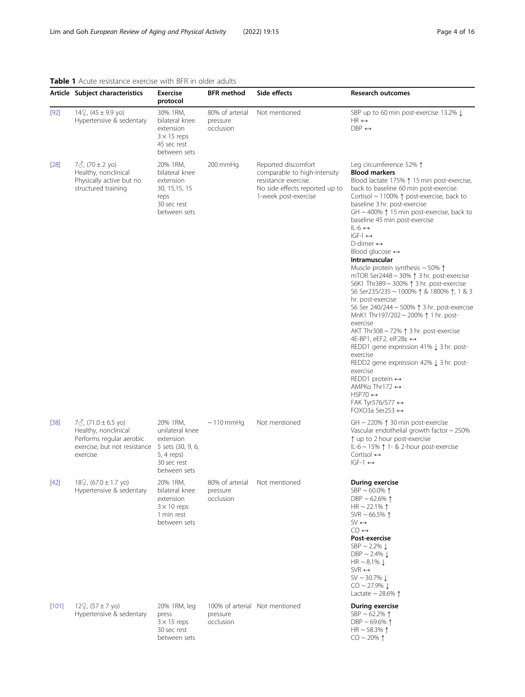# <span id="page-3-0"></span>Table 1 Acute resistance exercise with BFR in older adults

|        | Article Subject characteristics                                                                                             | <b>Exercise</b><br>protocol                                                                                | <b>BFR</b> method                        | Side effects                                                                                                                          | <b>Research outcomes</b>                                                                                                                                                                                                                                                                                                                                                                                                                                                                                                                                                                                                                                                                                                                                                                                                                                                                                                                                                                                                                                                                                                                                      |
|--------|-----------------------------------------------------------------------------------------------------------------------------|------------------------------------------------------------------------------------------------------------|------------------------------------------|---------------------------------------------------------------------------------------------------------------------------------------|---------------------------------------------------------------------------------------------------------------------------------------------------------------------------------------------------------------------------------------------------------------------------------------------------------------------------------------------------------------------------------------------------------------------------------------------------------------------------------------------------------------------------------------------------------------------------------------------------------------------------------------------------------------------------------------------------------------------------------------------------------------------------------------------------------------------------------------------------------------------------------------------------------------------------------------------------------------------------------------------------------------------------------------------------------------------------------------------------------------------------------------------------------------|
| $[92]$ | $14\frac{9}{2}$ , $(45 \pm 9.9 \text{ y0})$<br>Hypertensive & sedentary                                                     | 30% 1RM,<br>bilateral knee<br>extension<br>$3 \times 15$ reps<br>45 sec rest<br>between sets               | 80% of arterial<br>pressure<br>occlusion | Not mentioned                                                                                                                         | SBP up to 60 min post-exercise 13.2% Į<br>$HR \leftrightarrow$<br>$DBP \leftrightarrow$                                                                                                                                                                                                                                                                                                                                                                                                                                                                                                                                                                                                                                                                                                                                                                                                                                                                                                                                                                                                                                                                       |
| $[28]$ | $7\delta$ , (70 ± 2 yo)<br>Healthy, nonclinical<br>Physically active but no<br>structured training                          | 20% 1RM,<br>bilateral knee<br>extension<br>30, 15, 15, 15<br>reps<br>30 sec rest<br>between sets           | 200 mmHg                                 | Reported discomfort<br>comparable to high-intensity<br>resistance exercise.<br>No side effects reported up to<br>1-week post-exercise | Leg circumference 52% 1<br><b>Blood markers</b><br>Blood lactate 175% 15 min post-exercise,<br>back to baseline 60 min post-exercise.<br>Cortisol ~ 1100% 1 post-exercise, back to<br>baseline 3 hr. post-exercise<br>GH ~ 400% $\uparrow$ 15 min post-exercise, back to<br>baseline 45 min post-exercise<br>$IL-6 \leftrightarrow$<br>$ GF-I \leftrightarrow$<br>D-dimer $\leftrightarrow$<br>Blood glucose $\leftrightarrow$<br>Intramuscular<br>Muscle protein synthesis $\sim$ 50% $\uparrow$<br>mTOR Ser2448 ~ 30% $\uparrow$ 3 hr. post-exercise<br>S6K1 Thr389 ~ 300% ↑ 3 hr. post-exercise<br>S6 Ser235/235 ~ 1000% 1 & 1800% 1, 1 & 3<br>hr. post-exercise<br>S6 Ser 240/244 ~ 500% ↑ 3 hr. post-exercise<br>MnK1 Thr197/202 ~ 200% 1 1 hr. post-<br>exercise<br>AKT Thr308 $\sim$ 72% $\uparrow$ 3 hr. post-exercise<br>4E-BP1, eEF2, eIF2Bε $\leftrightarrow$<br>REDD1 gene expression 41% J 3 hr. post-<br>exercise<br>REDD2 gene expression 42% L 3 hr. post-<br>exercise<br>REDD1 protein $\leftrightarrow$<br>AMPKa Thr172 $\leftrightarrow$<br>$HSP70 \leftrightarrow$<br>FAK Tyr576/577 $\leftrightarrow$<br>FOXO3a Ser253 $\leftrightarrow$ |
| $[38]$ | $7\delta$ , (71.0 ± 6.5 yo)<br>Healthy, nonclinical<br>Performs regular aerobic<br>exercise, but not resistance<br>exercise | 20% 1RM,<br>unilateral knee<br>extension<br>5 sets (30, 9, 6,<br>5, 4 reps)<br>30 sec rest<br>between sets | $\sim$ 110 mmHg                          | Not mentioned                                                                                                                         | GH ~ 220% $\uparrow$ 30 min post-exercise<br>Vascular endothelial growth factor ~ 250%<br>↑ up to 2 hour post-exercise<br>IL-6 ~ 15% ↑ 1- & 2-hour post-exercise<br>Cortisol $\leftrightarrow$<br>$IGF-1 \leftrightarrow$                                                                                                                                                                                                                                                                                                                                                                                                                                                                                                                                                                                                                                                                                                                                                                                                                                                                                                                                     |
| $[42]$ | $18\frac{1}{2}$ , (67.0 ± 1.7 yo)<br>Hypertensive & sedentary                                                               | 20% 1RM,<br>bilateral knee<br>extension<br>$3 \times 10$ reps<br>1 min rest<br>between sets                | 80% of arterial<br>pressure<br>occlusion | Not mentioned                                                                                                                         | During exercise<br>SBP ~ 60.0% $\uparrow$<br>DBP ~ 62.6% $\uparrow$<br>HR $\sim$ 22.1% $\uparrow$<br>SVR ~ 66.5% $\uparrow$<br>$SV \leftrightarrow$<br>$CO \leftrightarrow$<br>Post-exercise<br>SBP $\sim$ 2.2% $\downarrow$<br>DBP $\sim$ 2.4% $\downarrow$<br>HR $\sim$ 8.1% $\downarrow$<br>$SVR \leftrightarrow$<br>$SV \sim 30.7\% \downarrow$<br>$CO \sim 27.9\%$ $\downarrow$<br>Lactate $\sim$ 28.6% $\uparrow$                                                                                                                                                                                                                                                                                                                                                                                                                                                                                                                                                                                                                                                                                                                                       |
| [101]  | $122$ , $(57 \pm 7 \text{ y0})$<br>Hypertensive & sedentary                                                                 | 20% 1RM, leg<br>press<br>$3 \times 15$ reps<br>30 sec rest<br>between sets                                 | pressure<br>occlusion                    | 100% of arterial Not mentioned                                                                                                        | During exercise<br>SBP ~ 62.2% $\uparrow$<br>DBP ~ 69.6% $\uparrow$<br>HR ~ 58.3% $\uparrow$<br>$CO \sim 20\%$ 1                                                                                                                                                                                                                                                                                                                                                                                                                                                                                                                                                                                                                                                                                                                                                                                                                                                                                                                                                                                                                                              |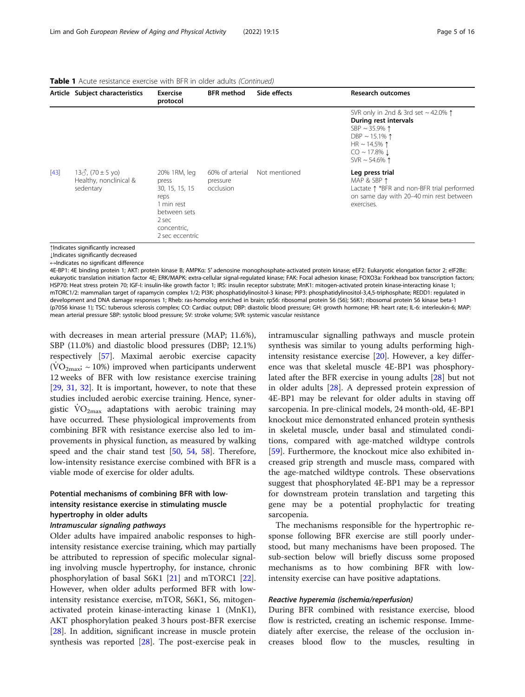|        | Article Subject characteristics                                 | <b>Exercise</b><br>protocol                                                                                              | <b>BFR</b> method                        | Side effects  | <b>Research outcomes</b>                                                                                                                                                                   |
|--------|-----------------------------------------------------------------|--------------------------------------------------------------------------------------------------------------------------|------------------------------------------|---------------|--------------------------------------------------------------------------------------------------------------------------------------------------------------------------------------------|
|        |                                                                 |                                                                                                                          |                                          |               | SVR only in 2nd & 3rd set $\sim$ 42.0% $\uparrow$<br>During rest intervals<br>SBP ~ 35.9% $\uparrow$<br>DBP ~ 15.1% 1<br>HR ~ 14.5% $\uparrow$<br>$CO \sim 17.8\%$ 1<br>SVR $\sim$ 54.6% 1 |
| $[43]$ | $13\delta$ , (70 ± 5 yo)<br>Healthy, nonclinical &<br>sedentary | 20% 1RM, leg<br>press<br>30, 15, 15, 15<br>reps<br>1 min rest<br>between sets<br>2 sec<br>concentric,<br>2 sec eccentric | 60% of arterial<br>pressure<br>occlusion | Not mentioned | Leg press trial<br>MAP & SBP $\uparrow$<br>Lactate 1 *BFR and non-BFR trial performed<br>on same day with 20-40 min rest between<br>exercises.                                             |

Table 1 Acute resistance exercise with BFR in older adults (Continued)

↑Indicates significantly increased

↓Indicates significantly decreased

↔Indicates no significant difference

4E-BP1: 4E binding protein 1; AKT: protein kinase B; AMPKα: 5′ adenosine monophosphate-activated protein kinase; eEF2: Eukaryotic elongation factor 2; eIF2Bε: eukaryotic translation initiation factor 4E; ERK/MAPK: extra-cellular signal-regulated kinase; FAK: Focal adhesion kinase; FOXO3a: Forkhead box transcription factors; HSP70: Heat stress protein 70; IGF-I: insulin-like growth factor 1; IRS: insulin receptor substrate; MnK1: mitogen-activated protein kinase-interacting kinase 1; mTORC1/2: mammalian target of rapamycin complex 1/2; PI3K: phosphatidylinositol-3 kinase; PIP3: phosphatidylinositol-3,4,5-triphosphate; REDD1: regulated in development and DNA damage responses 1; Rheb: ras-homolog enriched in brain; rpS6: ribosomal protein S6 (S6); S6K1; ribosomal protein S6 kinase beta-1 (p70S6 kinase 1); TSC: tuberous sclerosis complex; CO: Cardiac output; DBP: diastolic blood pressure; GH: growth hormone; HR: heart rate; IL-6: interleukin-6; MAP: mean arterial pressure SBP: systolic blood pressure; SV: stroke volume; SVR: systemic vascular resistance

with decreases in mean arterial pressure (MAP; 11.6%), SBP (11.0%) and diastolic blood pressures (DBP; 12.1%) respectively [[57\]](#page-13-0). Maximal aerobic exercise capacity  $(\rm{VO}_{2\rm{max}}) \sim 10\%)$  improved when participants underwent 12 weeks of BFR with low resistance exercise training [[29,](#page-13-0) [31](#page-13-0), [32\]](#page-13-0). It is important, however, to note that these studies included aerobic exercise training. Hence, synergistic  $\text{VO}_{2\text{max}}$  adaptations with aerobic training may have occurred. These physiological improvements from combining BFR with resistance exercise also led to improvements in physical function, as measured by walking speed and the chair stand test [\[50](#page-13-0), [54,](#page-13-0) [58](#page-13-0)]. Therefore, low-intensity resistance exercise combined with BFR is a viable mode of exercise for older adults.

# Potential mechanisms of combining BFR with lowintensity resistance exercise in stimulating muscle hypertrophy in older adults

Older adults have impaired anabolic responses to highintensity resistance exercise training, which may partially be attributed to repression of specific molecular signaling involving muscle hypertrophy, for instance, chronic phosphorylation of basal S6K1 [\[21\]](#page-12-0) and mTORC1 [\[22](#page-12-0)]. However, when older adults performed BFR with lowintensity resistance exercise, mTOR, S6K1, S6, mitogenactivated protein kinase-interacting kinase 1 (MnK1), AKT phosphorylation peaked 3 hours post-BFR exercise [[28\]](#page-12-0). In addition, significant increase in muscle protein synthesis was reported [\[28](#page-12-0)]. The post-exercise peak in intramuscular signalling pathways and muscle protein synthesis was similar to young adults performing highintensity resistance exercise [\[20](#page-12-0)]. However, a key difference was that skeletal muscle 4E-BP1 was phosphorylated after the BFR exercise in young adults [[28\]](#page-12-0) but not in older adults [\[28\]](#page-12-0). A depressed protein expression of 4E-BP1 may be relevant for older adults in staving off sarcopenia. In pre-clinical models, 24 month-old, 4E-BP1 knockout mice demonstrated enhanced protein synthesis in skeletal muscle, under basal and stimulated conditions, compared with age-matched wildtype controls [[59\]](#page-13-0). Furthermore, the knockout mice also exhibited increased grip strength and muscle mass, compared with the age-matched wildtype controls. These observations suggest that phosphorylated 4E-BP1 may be a repressor for downstream protein translation and targeting this gene may be a potential prophylactic for treating sarcopenia.

The mechanisms responsible for the hypertrophic response following BFR exercise are still poorly understood, but many mechanisms have been proposed. The sub-section below will briefly discuss some proposed mechanisms as to how combining BFR with lowintensity exercise can have positive adaptations.

During BFR combined with resistance exercise, blood flow is restricted, creating an ischemic response. Immediately after exercise, the release of the occlusion increases blood flow to the muscles, resulting in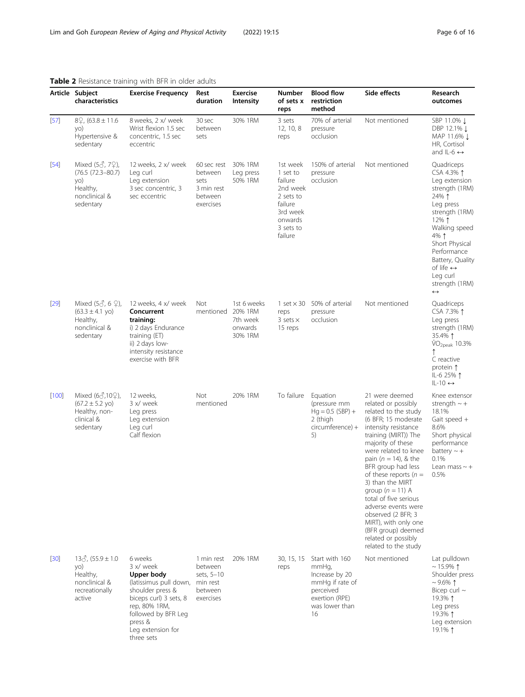|             | Article Subject<br>characteristics                                                                         | <b>Exercise Frequency</b>                                                                                                                                                                        | Rest<br>duration                                                        | <b>Exercise</b><br><b>Intensity</b>                      | <b>Number</b><br>of sets x<br>reps                                                                                 | <b>Blood flow</b><br>restriction<br>method                                                                          | Side effects                                                                                                                                                                                                                                                                                                                                                                                                                                                                 | Research<br>outcomes                                                                                                                                                                                                                                                                    |
|-------------|------------------------------------------------------------------------------------------------------------|--------------------------------------------------------------------------------------------------------------------------------------------------------------------------------------------------|-------------------------------------------------------------------------|----------------------------------------------------------|--------------------------------------------------------------------------------------------------------------------|---------------------------------------------------------------------------------------------------------------------|------------------------------------------------------------------------------------------------------------------------------------------------------------------------------------------------------------------------------------------------------------------------------------------------------------------------------------------------------------------------------------------------------------------------------------------------------------------------------|-----------------------------------------------------------------------------------------------------------------------------------------------------------------------------------------------------------------------------------------------------------------------------------------|
| $[57]$      | $8\frac{6}{3}$ , (63.8 ± 11.6)<br>yo)<br>Hypertensive &<br>sedentary                                       | 8 weeks, 2 x/ week<br>Wrist flexion 1.5 sec<br>concentric, 1.5 sec<br>eccentric                                                                                                                  | 30 sec<br>between<br>sets                                               | 30% 1RM                                                  | 3 sets<br>12, 10, 8<br>reps                                                                                        | 70% of arterial<br>pressure<br>occlusion                                                                            | Not mentioned                                                                                                                                                                                                                                                                                                                                                                                                                                                                | SBP 11.0% ↓<br>DBP 12.1% ↓<br>MAP 11.6% L<br>HR, Cortisol<br>and IL-6 $\leftrightarrow$                                                                                                                                                                                                 |
| $[54]$      | Mixed $(5\delta, 7\Omega)$ ,<br>$(76.5 (72.3 - 80.7))$<br>yo)<br>Healthy,<br>nonclinical &<br>sedentary    | 12 weeks, 2 x/ week<br>Leg curl<br>Leg extension<br>3 sec concentric, 3<br>sec eccentric                                                                                                         | 60 sec rest<br>between<br>sets<br>3 min rest<br>between<br>exercises    | 30% 1RM<br>Leg press<br>50% 1RM                          | 1st week<br>1 set to<br>failure<br>2nd week<br>2 sets to<br>failure<br>3rd week<br>onwards<br>3 sets to<br>failure | 150% of arterial<br>pressure<br>occlusion                                                                           | Not mentioned                                                                                                                                                                                                                                                                                                                                                                                                                                                                | Quadriceps<br>CSA 4.3% 1<br>Leg extension<br>strength (1RM)<br>24% 1<br>Leg press<br>strength (1RM)<br>12% $\uparrow$<br>Walking speed<br>4% 1<br>Short Physical<br>Performance<br>Battery, Quality<br>of life $\leftrightarrow$<br>Leg curl<br>strength (1RM)<br>$\longleftrightarrow$ |
| $[29]$      | Mixed $(5\delta, 6\mathcal{Q})$ ,<br>$(63.3 \pm 4.1 \text{ y0})$<br>Healthy,<br>nonclinical &<br>sedentary | 12 weeks, 4 x/ week<br>Concurrent<br>training:<br>i) 2 days Endurance<br>training $(ET)$<br>ii) 2 days low-<br>intensity resistance<br>exercise with BFR                                         | Not<br>mentioned                                                        | 1st 6 weeks<br>20% 1RM<br>7th week<br>onwards<br>30% 1RM | 1 set $\times$ 30<br>reps<br>3 sets $\times$<br>15 reps                                                            | 50% of arterial<br>pressure<br>occlusion                                                                            | Not mentioned                                                                                                                                                                                                                                                                                                                                                                                                                                                                | Quadriceps<br>CSA 7.3% 1<br>Leg press<br>strength (1RM)<br>35.4% 1<br>VO <sub>2peak</sub> 10.3%<br>C reactive<br>protein 1<br>IL-6 25% 1<br>$IL-10 \leftrightarrow$                                                                                                                     |
| $[100]$     | Mixed (6♂,10♀),<br>$(67.2 \pm 5.2 \text{ yo})$<br>Healthy, non-<br>clinical &<br>sedentary                 | 12 weeks,<br>3 x/ week<br>Leg press<br>Leg extension<br>Leg curl<br>Calf flexion                                                                                                                 | <b>Not</b><br>mentioned                                                 | 20% 1RM                                                  | To failure                                                                                                         | Equation<br>(pressure mm<br>$Hq = 0.5$ (SBP) +<br>2 (thigh<br>$circumference) +$<br>5)                              | 21 were deemed<br>related or possibly<br>related to the study<br>(6 BFR; 15 moderate<br>intensity resistance<br>training (MIRT)) The<br>majority of these<br>were related to knee<br>pain ( $n = 14$ ), & the<br>BFR group had less<br>of these reports ( $n =$<br>3) than the MIRT<br>group $(n = 11)$ A<br>total of five serious<br>adverse events were<br>observed (2 BFR; 3<br>MIRT), with only one<br>(BFR group) deemed<br>related or possibly<br>related to the study | Knee extensor<br>strength $\sim +$<br>18.1%<br>Gait speed +<br>8.6%<br>Short physical<br>performance<br>battery $\sim +$<br>0.1%<br>Lean mass $\sim +$<br>0.5%                                                                                                                          |
| $\sqrt{30}$ | $13\delta$ , $(55.9 \pm 1.0$<br>yo)<br>Healthy,<br>nonclinical &<br>recreationally<br>active               | 6 weeks<br>3 x/ week<br>Upper body<br>(latissimus pull down,<br>shoulder press &<br>biceps curl) 3 sets, 8<br>rep, 80% 1RM,<br>followed by BFR Leg<br>press &<br>Leg extension for<br>three sets | 1 min rest<br>between<br>sets, 5-10<br>min rest<br>between<br>exercises | 20% 1RM                                                  | 30, 15, 15<br>reps                                                                                                 | Start with 160<br>mmHg,<br>Increase by 20<br>mmHg if rate of<br>perceived<br>exertion (RPE)<br>was lower than<br>16 | Not mentioned                                                                                                                                                                                                                                                                                                                                                                                                                                                                | Lat pulldown<br>$\sim$ 15.9% 1<br>Shoulder press<br>$~1$ 9.6% $\uparrow$<br>Bicep curl $\sim$<br>19.3% ↑<br>Leg press<br>19.3% ↑<br>Leg extension<br>19.1% 1                                                                                                                            |

# <span id="page-5-0"></span>Table 2 Resistance training with BFR in older adults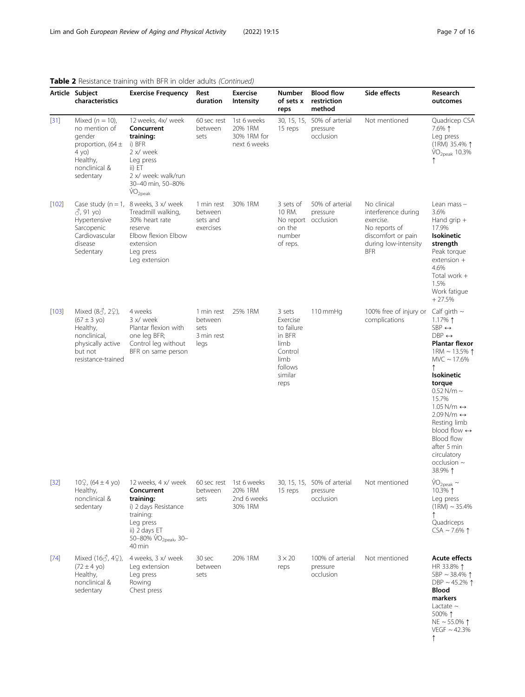|         | Article Subject<br>characteristics                                                                                                        | <b>Exercise Frequency</b>                                                                                                                                         | Rest<br>duration                                    | <b>Exercise</b><br>Intensity                          | Number<br>of sets x<br>reps                                                                         | <b>Blood flow</b><br>restriction<br>method           | Side effects                                                                                                                 | Research<br>outcomes                                                                                                                                                                                                                                                                                                                                                                                  |
|---------|-------------------------------------------------------------------------------------------------------------------------------------------|-------------------------------------------------------------------------------------------------------------------------------------------------------------------|-----------------------------------------------------|-------------------------------------------------------|-----------------------------------------------------------------------------------------------------|------------------------------------------------------|------------------------------------------------------------------------------------------------------------------------------|-------------------------------------------------------------------------------------------------------------------------------------------------------------------------------------------------------------------------------------------------------------------------------------------------------------------------------------------------------------------------------------------------------|
| $[31]$  | Mixed $(n = 10)$ ,<br>no mention of<br>gender<br>proportion, $(64 \pm$<br>4 yo)<br>Healthy,<br>nonclinical &<br>sedentary                 | 12 weeks, 4x/ week<br>Concurrent<br>training:<br>i) BFR<br>2 x/ week<br>Leg press<br>ii) ET<br>2 x/ week: walk/run<br>30-40 min, 50-80%<br>$\rm \dot{VO}_{2peak}$ | 60 sec rest<br>between<br>sets                      | 1st 6 weeks<br>20% 1RM<br>30% 1RM for<br>next 6 weeks | 30, 15, 15,<br>15 reps                                                                              | 50% of arterial<br>pressure<br>occlusion             | Not mentioned                                                                                                                | Quadricep CSA<br>7.6% ↑<br>Leg press<br>(1RM) 35.4% 1<br>VO <sub>2peak</sub> 10.3%                                                                                                                                                                                                                                                                                                                    |
| $[102]$ | $\beta$ , 91 yo)<br>Hypertensive<br>Sarcopenic<br>Cardiovascular<br>disease<br>Sedentary                                                  | Case study ( $n = 1$ , 8 weeks, 3 x/ week<br>Treadmill walking,<br>30% heart rate<br>reserve<br>Elbow flexion Elbow<br>extension<br>Leg press<br>Leg extension    | 1 min rest<br>between<br>sets and<br>exercises      | 30% 1RM                                               | 3 sets of<br>10 RM.<br>on the<br>number<br>of reps.                                                 | 50% of arterial<br>pressure<br>No report occlusion   | No clinical<br>interference during<br>exercise.<br>No reports of<br>discomfort or pain<br>during low-intensity<br><b>BFR</b> | Lean mass -<br>3.6%<br>Hand grip $+$<br>17.9%<br>Isokinetic<br>strength<br>Peak torque<br>extension +<br>4.6%<br>Total work +<br>1.5%<br>Work fatique<br>$+27.5%$                                                                                                                                                                                                                                     |
| $[103]$ | Mixed $(8\sigma, 2\Omega)$ ,<br>$(67 \pm 3 \text{ yo})$<br>Healthy,<br>nonclinical.<br>physically active<br>but not<br>resistance-trained | 4 weeks<br>3 x/ week<br>Plantar flexion with<br>one leg BFR;<br>Control leg without<br>BFR on same person                                                         | 1 min rest<br>between<br>sets<br>3 min rest<br>legs | 25% 1RM                                               | 3 sets<br>Exercise<br>to failure<br>in BFR<br>limb<br>Control<br>limb<br>follows<br>similar<br>reps | 110 mmHg                                             | 100% free of injury or<br>complications                                                                                      | Calf girth $\sim$<br>1.17% 1<br>$SBP \leftrightarrow$<br>$DBP \leftrightarrow$<br><b>Plantar flexor</b><br>1RM ~ 13.5% 1<br>$MVC \sim 17.6\%$<br><b>Isokinetic</b><br>torque<br>$0.52$ N/m $\sim$<br>15.7%<br>$1.05$ N/m $\leftrightarrow$<br>$2.09$ N/m $\leftrightarrow$<br>Resting limb<br>blood flow $\leftrightarrow$<br>Blood flow<br>after 5 min<br>circulatory<br>occlusion $\sim$<br>38.9% 1 |
| $[32]$  | $10\frac{0}{5}$ , (64 ± 4 yo)<br>Healthy,<br>nonclinical &<br>sedentary                                                                   | 12 weeks, 4 x/ week<br>Concurrent<br>training:<br>i) 2 days Resistance<br>training:<br>Leg press<br>ii) 2 days ET<br>50-80% VO <sub>2peak</sub> , 30-<br>40 min   | 60 sec rest<br>between<br>sets                      | 1st 6 weeks<br>20% 1RM<br>2nd 6 weeks<br>30% 1RM      | 15 reps                                                                                             | 30, 15, 15, 50% of arterial<br>pressure<br>occlusion | Not mentioned                                                                                                                | $VO2peak$ ~<br>10.3% ↑<br>Leg press<br>$(1RM) \sim 35.4\%$<br>Quadriceps<br>$CSA \sim 7.6\%$ 1                                                                                                                                                                                                                                                                                                        |
| $[74]$  | Mixed (16♂, 4♀),<br>$(72 \pm 4 \text{ y0})$<br>Healthy,<br>nonclinical &<br>sedentary                                                     | 4 weeks, 3 x/ week<br>Leg extension<br>Leg press<br>Rowing<br>Chest press                                                                                         | 30 sec<br>between<br>sets                           | 20% 1RM                                               | $3 \times 20$<br>reps                                                                               | 100% of arterial<br>pressure<br>occlusion            | Not mentioned                                                                                                                | <b>Acute effects</b><br>HR 33.8% 1<br>SBP ~ 38.4% $\uparrow$<br>DBP ~45.2% $\uparrow$<br>Blood<br>markers<br>Lactate $\sim$<br>500% ↑<br>NE ~ 55.0% $\uparrow$<br>VEGF $\sim$ 42.3%                                                                                                                                                                                                                   |

# Table 2 Resistance training with BFR in older adults (Continued)

↑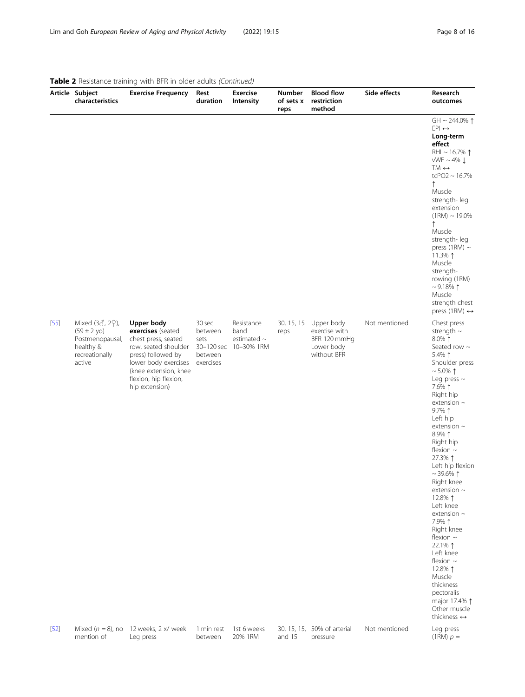|        | Article Subject<br>characteristics                                                                     | <b>Exercise Frequency</b>                                                                                                                                                                        | Rest<br>duration                                  | <b>Exercise</b><br><b>Intensity</b>                             | Number<br>of sets x<br>reps | <b>Blood flow</b><br>restriction<br>method                               | Side effects  | Research<br>outcomes                                                                                                                                                                                                                                                                                                                                                                                                                                                                                                                                                                                    |
|--------|--------------------------------------------------------------------------------------------------------|--------------------------------------------------------------------------------------------------------------------------------------------------------------------------------------------------|---------------------------------------------------|-----------------------------------------------------------------|-----------------------------|--------------------------------------------------------------------------|---------------|---------------------------------------------------------------------------------------------------------------------------------------------------------------------------------------------------------------------------------------------------------------------------------------------------------------------------------------------------------------------------------------------------------------------------------------------------------------------------------------------------------------------------------------------------------------------------------------------------------|
|        |                                                                                                        |                                                                                                                                                                                                  |                                                   |                                                                 |                             |                                                                          |               | GH ~ 244.0% $\uparrow$<br>$EPI \leftrightarrow$<br>Long-term<br>effect<br>RHI ~ 16.7% $\uparrow$<br>$vWF \sim 4\%$<br>$TM \leftrightarrow$<br>$tcPO2 \sim 16.7\%$<br>↑<br>Muscle<br>strength-leg<br>extension<br>$(1RM) \sim 19.0\%$<br>$\uparrow$<br>Muscle<br>strength-leg<br>press (1RM) $\sim$<br>11.3% 1<br>Muscle<br>strength-<br>rowing (1RM)<br>$\sim$ 9.18% 1<br>Muscle<br>strength chest<br>press (1RM) $\leftrightarrow$                                                                                                                                                                     |
| $[55]$ | Mixed (38, 29),<br>$(59 \pm 2 \text{ yo})$<br>Postmenopausal,<br>healthy &<br>recreationally<br>active | Upper body<br>exercises (seated<br>chest press, seated<br>row, seated shoulder<br>press) followed by<br>lower body exercises<br>(knee extension, knee<br>flexion, hip flexion,<br>hip extension) | 30 sec<br>between<br>sets<br>between<br>exercises | Resistance<br>band<br>estimated $\sim$<br>30-120 sec 10-30% 1RM | 30, 15, 15<br>reps          | Upper body<br>exercise with<br>BFR 120 mmHg<br>Lower body<br>without BFR | Not mentioned | Chest press<br>strength $\sim$<br>8.0% 1<br>Seated row $\sim$<br>5.4% 1<br>Shoulder press<br>$~1$ 5.0% 1<br>Leg press $\sim$<br>7.6% 1<br>Right hip<br>extension $\sim$<br>$9.7\%$ ↑<br>Left hip<br>extension $\sim$<br>8.9% 1<br>Right hip<br>flexion $\sim$<br>27.3% 1<br>Left hip flexion<br>$~1$ 39.6% $\uparrow$<br>Right knee<br>extension $\sim$<br>12.8% 1<br>Left knee<br>extension $\sim$<br>7.9% 1<br>Right knee<br>flexion $\sim$<br>22.1% 1<br>Left knee<br>flexion $\sim$<br>12.8% 1<br>Muscle<br>thickness<br>pectoralis<br>major 17.4% 1<br>Other muscle<br>thickness $\leftrightarrow$ |
| $[52]$ | Mixed ( $n = 8$ ), no<br>mention of                                                                    | 12 weeks, 2 x/ week<br>Leg press                                                                                                                                                                 | 1 min rest<br>between                             | 1st 6 weeks<br>20% 1RM                                          | and 15                      | 30, 15, 15, 50% of arterial<br>pressure                                  | Not mentioned | Leg press<br>$(1RM) p =$                                                                                                                                                                                                                                                                                                                                                                                                                                                                                                                                                                                |

# Table 2 Resistance training with BFR in older adults (Continued)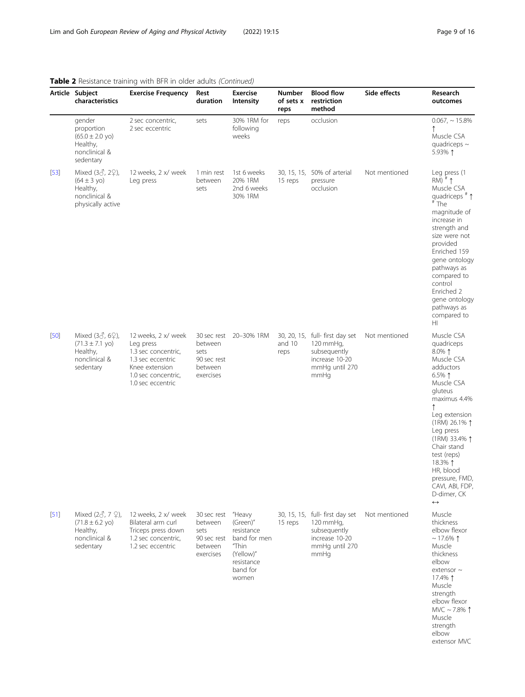|        | Article Subject<br>characteristics                                                                        | <b>Exercise Frequency</b>                                                                                                                  | Rest<br>duration                                                      | <b>Exercise</b><br><b>Intensity</b>                                                                       | Number<br>of sets x<br>reps | <b>Blood flow</b><br>restriction<br>method                                                                 | Side effects  | Research<br>outcomes                                                                                                                                                                                                                                                                                                 |
|--------|-----------------------------------------------------------------------------------------------------------|--------------------------------------------------------------------------------------------------------------------------------------------|-----------------------------------------------------------------------|-----------------------------------------------------------------------------------------------------------|-----------------------------|------------------------------------------------------------------------------------------------------------|---------------|----------------------------------------------------------------------------------------------------------------------------------------------------------------------------------------------------------------------------------------------------------------------------------------------------------------------|
|        | gender<br>proportion<br>$(65.0 \pm 2.0 \text{ yo})$<br>Healthy,<br>nonclinical &<br>sedentary             | 2 sec concentric,<br>2 sec eccentric                                                                                                       | sets                                                                  | 30% 1RM for<br>following<br>weeks                                                                         | reps                        | occlusion                                                                                                  |               | $0.067, ~15.8\%$<br>↑<br>Muscle CSA<br>quadriceps $\sim$<br>5.93% 1                                                                                                                                                                                                                                                  |
| $[53]$ | Mixed $(3\delta, 2\Omega)$ ,<br>$(64 \pm 3 \text{ y0})$<br>Healthy,<br>nonclinical &<br>physically active | 12 weeks, 2 x/ week<br>Leg press                                                                                                           | 1 min rest<br>between<br>sets                                         | 1st 6 weeks<br>20% 1RM<br>2nd 6 weeks<br>30% 1RM                                                          | 15 reps                     | 30, 15, 15, 50% of arterial<br>pressure<br>occlusion                                                       | Not mentioned | Leg press (1<br>$RM)$ <sup>#</sup> $\uparrow$<br>Muscle CSA<br>quadriceps $*$ 1<br>$#$ The<br>magnitude of<br>increase in<br>strength and<br>size were not<br>provided<br>Enriched 159<br>gene ontology<br>pathways as<br>compared to<br>control<br>Enriched 2<br>gene ontology<br>pathways as<br>compared to<br>HI  |
| $[50]$ | Mixed $(3\delta, 6\Omega)$ ,<br>$(71.3 \pm 7.1 \text{ yo})$<br>Healthy,<br>nonclinical &<br>sedentary     | 12 weeks, 2 x/ week<br>Leg press<br>1.3 sec concentric,<br>1.3 sec eccentric<br>Knee extension<br>1.0 sec concentric,<br>1.0 sec eccentric | 30 sec rest<br>between<br>sets<br>90 sec rest<br>between<br>exercises | 20-30% 1RM                                                                                                | and 10<br>reps              | 30, 20, 15, full- first day set<br>120 mmHg,<br>subsequently<br>increase 10-20<br>mmHg until 270<br>mmHg   | Not mentioned | Muscle CSA<br>quadriceps<br>$8.0\%$ 1<br>Muscle CSA<br>adductors<br>$6.5%$ ↑<br>Muscle CSA<br>gluteus<br>maximus 4.4%<br>Leg extension<br>(1RM) 26.1% 1<br>Leg press<br>(1RM) 33.4% 1<br>Chair stand<br>test (reps)<br>18.3% ↑<br>HR, blood<br>pressure, FMD,<br>CAVI, ABI, FDP,<br>D-dimer, CK<br>$\leftrightarrow$ |
| $[51]$ | Mixed $(2\delta, 7 \Omega)$ ,<br>$(71.8 \pm 6.2 \text{ yo})$<br>Healthy,<br>nonclinical &<br>sedentary    | 12 weeks, 2 x/ week<br>Bilateral arm curl<br>Triceps press down<br>1.2 sec concentric,<br>1.2 sec eccentric                                | 30 sec rest<br>between<br>sets<br>90 sec rest<br>between<br>exercises | "Heavy<br>(Green)"<br>resistance<br>band for men<br>"Thin<br>(Yellow)"<br>resistance<br>band for<br>women | 15 reps                     | 30, 15, 15, full- first day set<br>$120$ mmHq,<br>subsequently<br>increase 10-20<br>mmHq until 270<br>mmHq | Not mentioned | Muscle<br>thickness<br>elbow flexor<br>$\sim$ 17.6% 1<br>Muscle<br>thickness<br>elbow<br>extensor $\sim$<br>17.4% ↑<br>Muscle<br>strength<br>elbow flexor<br>MVC ~ 7.8% $\uparrow$<br>Muscle<br>strength<br>elbow<br>extensor MVC                                                                                    |

# Table 2 Resistance training with RFR in older adults (Continued)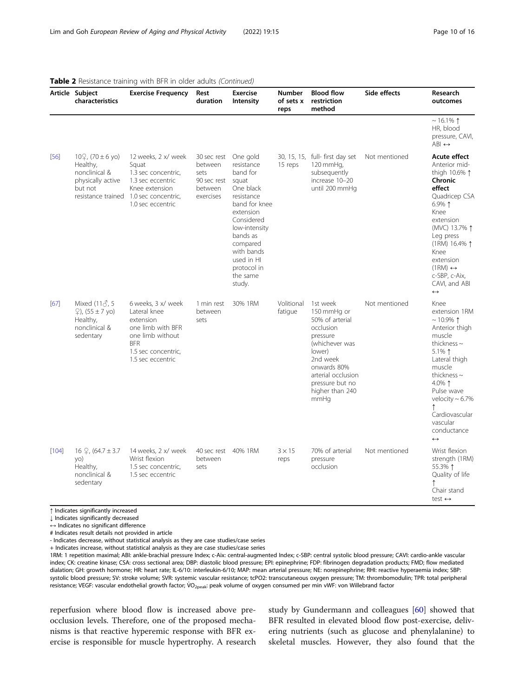|        | Article Subject<br>characteristics                                                         | <b>Exercise Frequency</b>                                                                                                                                 | Rest<br>duration                                                      | <b>Exercise</b><br><b>Intensity</b>                                                                                                                                                                                          | <b>Number</b><br>of sets x<br>reps | <b>Blood flow</b><br>restriction<br>method                                                                                                                                                     | Side effects  | Research<br>outcomes                                                                                                                                                                                                                                                                    |
|--------|--------------------------------------------------------------------------------------------|-----------------------------------------------------------------------------------------------------------------------------------------------------------|-----------------------------------------------------------------------|------------------------------------------------------------------------------------------------------------------------------------------------------------------------------------------------------------------------------|------------------------------------|------------------------------------------------------------------------------------------------------------------------------------------------------------------------------------------------|---------------|-----------------------------------------------------------------------------------------------------------------------------------------------------------------------------------------------------------------------------------------------------------------------------------------|
|        |                                                                                            |                                                                                                                                                           |                                                                       |                                                                                                                                                                                                                              |                                    |                                                                                                                                                                                                |               | $~16.1\%$ 1<br>HR, blood<br>pressure, CAVI,<br>$ABI \leftrightarrow$                                                                                                                                                                                                                    |
| $[56]$ | $10\frac{0}{2}$ , (70 ± 6 yo)<br>Healthy,<br>nonclinical &<br>physically active<br>but not | 12 weeks, 2 x/ week<br>Squat<br>1.3 sec concentric,<br>1.3 sec eccentric<br>Knee extension<br>resistance trained 1.0 sec concentric,<br>1.0 sec eccentric | 30 sec rest<br>between<br>sets<br>90 sec rest<br>between<br>exercises | One gold<br>resistance<br>band for<br>squat<br>One black<br>resistance<br>band for knee<br>extension<br>Considered<br>low-intensity<br>bands as<br>compared<br>with bands<br>used in HI<br>protocol in<br>the same<br>study. | 15 reps                            | 30, 15, 15, full- first day set<br>120 mmHg,<br>subsequently<br>increase 10-20<br>until 200 mmHq                                                                                               | Not mentioned | Acute effect<br>Anterior mid-<br>thigh 10.6% 1<br>Chronic<br>effect<br>Quadricep CSA<br>$6.9\%$ ↑<br>Knee<br>extension<br>(MVC) 13.7% 1<br>Leg press<br>(1RM) 16.4% 1<br>Knee<br>extension<br>$(1RM) \leftrightarrow$<br>c-SBP, c-Aix,<br>CAVI, and ABI<br>$\leftrightarrow$            |
| [67]   | Mixed $(11\delta, 5$<br>$\circ$ ), (55 ± 7 yo)<br>Healthy,<br>nonclinical &<br>sedentary   | 6 weeks, 3 x/ week<br>Lateral knee<br>extension<br>one limb with BFR<br>one limb without<br><b>BFR</b><br>1.5 sec concentric,<br>1.5 sec eccentric        | 1 min rest<br>between<br>sets                                         | 30% 1RM                                                                                                                                                                                                                      | Volitional<br>fatique              | 1st week<br>150 mmHq or<br>50% of arterial<br>occlusion<br>pressure<br>(whichever was<br>lower)<br>2nd week<br>onwards 80%<br>arterial occlusion<br>pressure but no<br>higher than 240<br>mmHg | Not mentioned | Knee<br>extension 1RM<br>$~10.9\%$ ↑<br>Anterior thigh<br>muscle<br>thickness $\sim$<br>5.1% $\uparrow$<br>Lateral thigh<br>muscle<br>thickness $\sim$<br>4.0% 1<br>Pulse wave<br>velocity $\sim 6.7\%$<br>$\uparrow$<br>Cardiovascular<br>vascular<br>conductance<br>$\leftrightarrow$ |
| [104]  | 16 $\mathcal{Q}$ , (64.7 $\pm$ 3.7<br>yo)<br>Healthy,<br>nonclinical &<br>sedentary        | 14 weeks, 2 x/ week<br>Wrist flexion<br>1.5 sec concentric,<br>1.5 sec eccentric                                                                          | 40 sec rest<br>between<br>sets                                        | 40% 1RM                                                                                                                                                                                                                      | $3 \times 15$<br>reps              | 70% of arterial<br>pressure<br>occlusion                                                                                                                                                       | Not mentioned | Wrist flexion<br>strength (1RM)<br>55.3% 1<br>Quality of life<br>Chair stand<br>test $\leftrightarrow$                                                                                                                                                                                  |

| <b>Table 2</b> Resistance training with BFR in older adults (Continued) |  |  |  |
|-------------------------------------------------------------------------|--|--|--|
|                                                                         |  |  |  |

↑ Indicates significantly increased

↓ Indicates significantly decreased

↔ Indicates no significant difference

# Indicates result details not provided in article

- Indicates decrease, without statistical analysis as they are case studies/case series + Indicates increase, without statistical analysis as they are case studies/case series

1RM: 1 repetition maximal; ABI: ankle-brachial pressure Index; c-Aix: central-augmented Index; c-SBP: central systolic blood pressure; CAVI: cardio-ankle vascular index; CK: creatine kinase; CSA: cross sectional area; DBP: diastolic blood pressure; EPI: epinephrine; FDP: fibrinogen degradation products; FMD; flow mediated dialation; GH: growth hormone; HR: heart rate; IL-6/10: interleukin-6/10; MAP: mean arterial pressure; NE: norepinephrine; RHI: reactive hyperaemia index; SBP: systolic blood pressure; SV: stroke volume; SVR: systemic vascular resistance; tcPO2: transcutaneous oxygen pressure; TM: thrombomodulin; TPR: total peripheral resistance; VEGF: vascular endothelial growth factor; VO<sub>2peak</sub>: peak volume of oxygen consumed per min vWF: von Willebrand factor

reperfusion where blood flow is increased above preocclusion levels. Therefore, one of the proposed mechanisms is that reactive hyperemic response with BFR exercise is responsible for muscle hypertrophy. A research study by Gundermann and colleagues [[60\]](#page-13-0) showed that BFR resulted in elevated blood flow post-exercise, delivering nutrients (such as glucose and phenylalanine) to skeletal muscles. However, they also found that the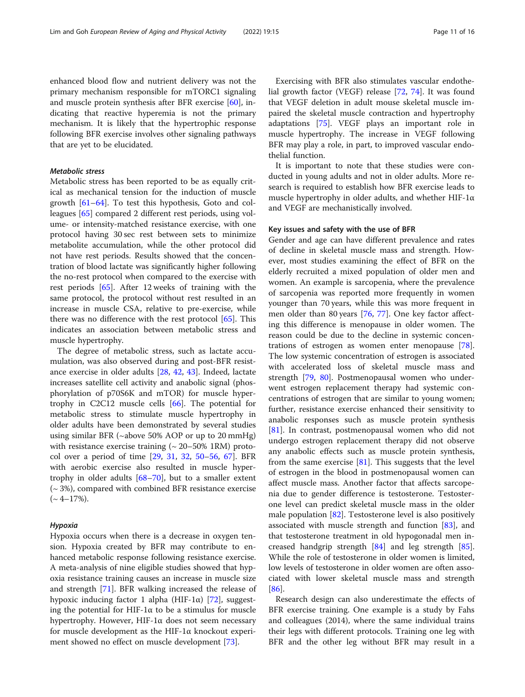enhanced blood flow and nutrient delivery was not the primary mechanism responsible for mTORC1 signaling and muscle protein synthesis after BFR exercise [[60](#page-13-0)], indicating that reactive hyperemia is not the primary mechanism. It is likely that the hypertrophic response following BFR exercise involves other signaling pathways that are yet to be elucidated.

#### **Metabolic stress**

Metabolic stress Metabolic stress has been reported to be as equally critical as mechanical tension for the induction of muscle growth [[61](#page-13-0)–[64](#page-13-0)]. To test this hypothesis, Goto and colleagues [\[65](#page-13-0)] compared 2 different rest periods, using volume- or intensity-matched resistance exercise, with one protocol having 30 sec rest between sets to minimize metabolite accumulation, while the other protocol did not have rest periods. Results showed that the concentration of blood lactate was significantly higher following the no-rest protocol when compared to the exercise with rest periods [[65](#page-13-0)]. After 12 weeks of training with the same protocol, the protocol without rest resulted in an increase in muscle CSA, relative to pre-exercise, while there was no difference with the rest protocol [[65\]](#page-13-0). This indicates an association between metabolic stress and muscle hypertrophy.

The degree of metabolic stress, such as lactate accumulation, was also observed during and post-BFR resistance exercise in older adults [\[28](#page-12-0), [42](#page-13-0), [43\]](#page-13-0). Indeed, lactate increases satellite cell activity and anabolic signal (phosphorylation of p70S6K and mTOR) for muscle hypertrophy in C2C12 muscle cells [[66](#page-14-0)]. The potential for metabolic stress to stimulate muscle hypertrophy in older adults have been demonstrated by several studies using similar BFR (~above 50% AOP or up to 20 mmHg) with resistance exercise training  $(\sim 20 - 50\% \text{ 1RM})$  protocol over a period of time [[29,](#page-13-0) [31](#page-13-0), [32](#page-13-0), [50](#page-13-0)–[56,](#page-13-0) [67\]](#page-14-0). BFR with aerobic exercise also resulted in muscle hypertrophy in older adults  $[68-70]$  $[68-70]$  $[68-70]$ , but to a smaller extent  $({\sim} 3\%)$ , compared with combined BFR resistance exercise  $({\sim}$  4–17%).

Hypoxia Hypoxia occurs when there is a decrease in oxygen tension. Hypoxia created by BFR may contribute to enhanced metabolic response following resistance exercise. A meta-analysis of nine eligible studies showed that hypoxia resistance training causes an increase in muscle size and strength [[71](#page-14-0)]. BFR walking increased the release of hypoxic inducing factor 1 alpha (HIF-1α) [[72\]](#page-14-0), suggesting the potential for HIF-1α to be a stimulus for muscle hypertrophy. However, HIF-1α does not seem necessary for muscle development as the HIF-1α knockout experiment showed no effect on muscle development [[73](#page-14-0)].

Exercising with BFR also stimulates vascular endothelial growth factor (VEGF) release [\[72](#page-14-0), [74](#page-14-0)]. It was found that VEGF deletion in adult mouse skeletal muscle impaired the skeletal muscle contraction and hypertrophy adaptations [[75\]](#page-14-0). VEGF plays an important role in muscle hypertrophy. The increase in VEGF following BFR may play a role, in part, to improved vascular endothelial function.

It is important to note that these studies were conducted in young adults and not in older adults. More research is required to establish how BFR exercise leads to muscle hypertrophy in older adults, and whether HIF-1α and VEGF are mechanistically involved.

#### Key issues and safety with the use of BFR

Gender and age can have different prevalence and rates of decline in skeletal muscle mass and strength. However, most studies examining the effect of BFR on the elderly recruited a mixed population of older men and women. An example is sarcopenia, where the prevalence of sarcopenia was reported more frequently in women younger than 70 years, while this was more frequent in men older than 80 years [\[76](#page-14-0), [77\]](#page-14-0). One key factor affecting this difference is menopause in older women. The reason could be due to the decline in systemic concentrations of estrogen as women enter menopause [\[78](#page-14-0)]. The low systemic concentration of estrogen is associated with accelerated loss of skeletal muscle mass and strength [\[79](#page-14-0), [80\]](#page-14-0). Postmenopausal women who underwent estrogen replacement therapy had systemic concentrations of estrogen that are similar to young women; further, resistance exercise enhanced their sensitivity to anabolic responses such as muscle protein synthesis [[81\]](#page-14-0). In contrast, postmenopausal women who did not undergo estrogen replacement therapy did not observe any anabolic effects such as muscle protein synthesis, from the same exercise  $[81]$  $[81]$ . This suggests that the level of estrogen in the blood in postmenopausal women can affect muscle mass. Another factor that affects sarcopenia due to gender difference is testosterone. Testosterone level can predict skeletal muscle mass in the older male population [\[82](#page-14-0)]. Testosterone level is also positively associated with muscle strength and function [\[83\]](#page-14-0), and that testosterone treatment in old hypogonadal men increased handgrip strength [[84\]](#page-14-0) and leg strength [\[85](#page-14-0)]. While the role of testosterone in older women is limited, low levels of testosterone in older women are often associated with lower skeletal muscle mass and strength [[86\]](#page-14-0).

Research design can also underestimate the effects of BFR exercise training. One example is a study by Fahs and colleagues (2014), where the same individual trains their legs with different protocols. Training one leg with BFR and the other leg without BFR may result in a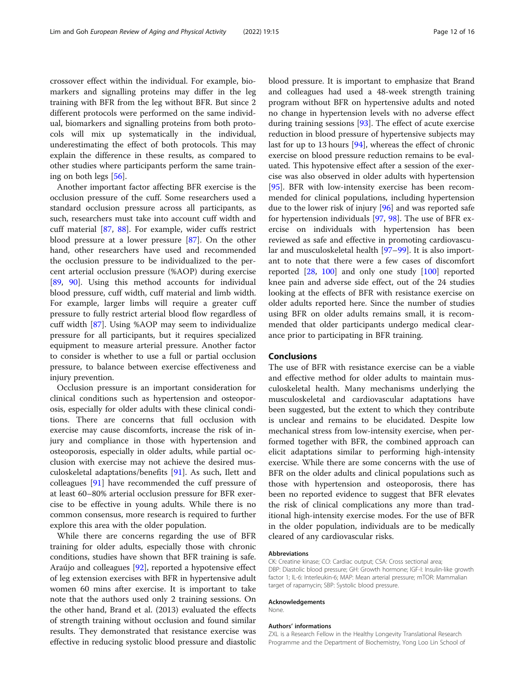crossover effect within the individual. For example, biomarkers and signalling proteins may differ in the leg training with BFR from the leg without BFR. But since 2 different protocols were performed on the same individual, biomarkers and signalling proteins from both protocols will mix up systematically in the individual, underestimating the effect of both protocols. This may explain the difference in these results, as compared to other studies where participants perform the same training on both legs [[56\]](#page-13-0).

Another important factor affecting BFR exercise is the occlusion pressure of the cuff. Some researchers used a standard occlusion pressure across all participants, as such, researchers must take into account cuff width and cuff material [\[87,](#page-14-0) [88](#page-14-0)]. For example, wider cuffs restrict blood pressure at a lower pressure [[87\]](#page-14-0). On the other hand, other researchers have used and recommended the occlusion pressure to be individualized to the percent arterial occlusion pressure (%AOP) during exercise [[89,](#page-14-0) [90](#page-14-0)]. Using this method accounts for individual blood pressure, cuff width, cuff material and limb width. For example, larger limbs will require a greater cuff pressure to fully restrict arterial blood flow regardless of cuff width [[87](#page-14-0)]. Using %AOP may seem to individualize pressure for all participants, but it requires specialized equipment to measure arterial pressure. Another factor to consider is whether to use a full or partial occlusion pressure, to balance between exercise effectiveness and injury prevention.

Occlusion pressure is an important consideration for clinical conditions such as hypertension and osteoporosis, especially for older adults with these clinical conditions. There are concerns that full occlusion with exercise may cause discomforts, increase the risk of injury and compliance in those with hypertension and osteoporosis, especially in older adults, while partial occlusion with exercise may not achieve the desired musculoskeletal adaptations/benefits [\[91\]](#page-14-0). As such, Ilett and colleagues [[91](#page-14-0)] have recommended the cuff pressure of at least 60–80% arterial occlusion pressure for BFR exercise to be effective in young adults. While there is no common consensus, more research is required to further explore this area with the older population.

While there are concerns regarding the use of BFR training for older adults, especially those with chronic conditions, studies have shown that BFR training is safe. Araújo and colleagues [[92](#page-14-0)], reported a hypotensive effect of leg extension exercises with BFR in hypertensive adult women 60 mins after exercise. It is important to take note that the authors used only 2 training sessions. On the other hand, Brand et al. (2013) evaluated the effects of strength training without occlusion and found similar results. They demonstrated that resistance exercise was effective in reducing systolic blood pressure and diastolic blood pressure. It is important to emphasize that Brand and colleagues had used a 48-week strength training program without BFR on hypertensive adults and noted no change in hypertension levels with no adverse effect during training sessions [\[93\]](#page-14-0). The effect of acute exercise reduction in blood pressure of hypertensive subjects may last for up to 13 hours [[94\]](#page-14-0), whereas the effect of chronic exercise on blood pressure reduction remains to be evaluated. This hypotensive effect after a session of the exercise was also observed in older adults with hypertension [[95\]](#page-14-0). BFR with low-intensity exercise has been recommended for clinical populations, including hypertension due to the lower risk of injury [[96](#page-14-0)] and was reported safe for hypertension individuals [[97](#page-14-0), [98](#page-14-0)]. The use of BFR exercise on individuals with hypertension has been reviewed as safe and effective in promoting cardiovascular and musculoskeletal health [[97](#page-14-0)–[99](#page-14-0)]. It is also important to note that there were a few cases of discomfort reported [[28,](#page-12-0) [100\]](#page-14-0) and only one study [[100](#page-14-0)] reported knee pain and adverse side effect, out of the 24 studies looking at the effects of BFR with resistance exercise on older adults reported here. Since the number of studies using BFR on older adults remains small, it is recommended that older participants undergo medical clearance prior to participating in BFR training.

### Conclusions

The use of BFR with resistance exercise can be a viable and effective method for older adults to maintain musculoskeletal health. Many mechanisms underlying the musculoskeletal and cardiovascular adaptations have been suggested, but the extent to which they contribute is unclear and remains to be elucidated. Despite low mechanical stress from low-intensity exercise, when performed together with BFR, the combined approach can elicit adaptations similar to performing high-intensity exercise. While there are some concerns with the use of BFR on the older adults and clinical populations such as those with hypertension and osteoporosis, there has been no reported evidence to suggest that BFR elevates the risk of clinical complications any more than traditional high-intensity exercise modes. For the use of BFR in the older population, individuals are to be medically cleared of any cardiovascular risks.

#### Abbreviations

CK: Creatine kinase; CO: Cardiac output; CSA: Cross sectional area; DBP: Diastolic blood pressure; GH: Growth hormone; IGF-I: Insulin-like growth factor 1; IL-6: Interleukin-6; MAP: Mean arterial pressure; mTOR: Mammalian target of rapamycin; SBP: Systolic blood pressure.

#### Acknowledgements

None.

#### Authors' informations

ZXL is a Research Fellow in the Healthy Longevity Translational Research Programme and the Department of Biochemistry, Yong Loo Lin School of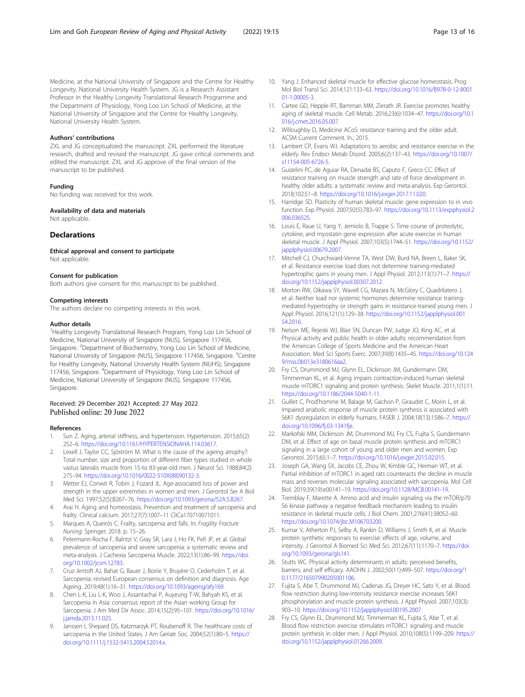<span id="page-12-0"></span>Medicine, at the National University of Singapore and the Centre for Healthy Longevity, National University Health System. JG is a Research Assistant Professor in the Healthy Longevity Translational Research Programme and the Department of Physiology, Yong Loo Lin School of Medicine, at the National University of Singapore and the Centre for Healthy Longevity, National University Health System.

#### Authors' contributions

ZXL and JG conceptualized the manuscript. ZXL performed the literature research, drafted and revised the manuscript. JG gave critical comments and edited the manuscript. ZXL and JG approve of the final version of the manuscript to be published.

#### Funding

No funding was received for this work.

Availability of data and materials

Not applicable

#### Declarations

Ethical approval and consent to participate Not applicable.

#### Consent for publication

Both authors give consent for this manuscript to be published.

#### Competing interests

The authors declare no competing interests in this work.

#### Author details

<sup>1</sup> Healthy Longevity Translational Research Program, Yong Loo Lin School of Medicine, National University of Singapore (NUS), Singapore 117456, Singapore. <sup>2</sup>Department of Biochemistry, Yong Loo Lin School of Medicine, National University of Singapore (NUS), Singapore 117456, Singapore. <sup>3</sup>Centre for Healthy Longevity, National University Health System (NUHS), Singapore 117456, Singapore. <sup>4</sup>Department of Physiology, Yong Loo Lin School of Medicine, National University of Singapore (NUS), Singapore 117456, Singapore.

#### Received: 29 December 2021 Accepted: 27 May 2022 Published online: 20 June 2022

#### References

- Sun Z. Aging, arterial stiffness, and hypertension. Hypertension. 2015;65(2): 252–6. <https://doi.org/10.1161/HYPERTENSIONAHA.114.03617>.
- Lexell J, Taylor CC, Sjöström M. What is the cause of the ageing atrophy?: Total number, size and proportion of different fiber types studied in whole vastus lateralis muscle from 15-to 83-year-old men. J Neurol Sci. 1988;84(2): 275–94. [https://doi.org/10.1016/0022-510X\(88\)90132-3.](https://doi.org/10.1016/0022-510X(88)90132-3)
- 3. Metter EJ, Conwit R, Tobin J, Fozard JL. Age-associated loss of power and strength in the upper extremities in women and men. J Gerontol Ser A Biol Med Sci. 1997;52(5):B267–76. [https://doi.org/10.1093/gerona/52A.5.B267.](https://doi.org/10.1093/gerona/52A.5.B267)
- 4. Arai H. Aging and homeostasis. Prevention and treatment of sarcopenia and frailty. Clinical calcium. 2017;27(7):1007–11 CliCa170710071011.
- 5. Marques A, Queirós C. Frailty, sarcopenia and falls. In: Fragility Fracture Nursing: Springer; 2018. p. 15–26.
- 6. Petermann-Rocha F, Balntzi V, Gray SR, Lara J, Ho FK, Pell JP, et al. Global prevalence of sarcopenia and severe sarcopenia: a systematic review and meta-analysis. J Cachexia Sarcopenia Muscle. 2022;13(1):86–99. [https://doi.](https://doi.org/10.1002/jcsm.12783) [org/10.1002/jcsm.12783](https://doi.org/10.1002/jcsm.12783).
- 7. Cruz-Jentoft AJ, Bahat G, Bauer J, Boirie Y, Bruyère O, Cederholm T, et al. Sarcopenia: revised European consensus on definition and diagnosis. Age Ageing. 2019;48(1):16–31. [https://doi.org/10.1093/ageing/afy169.](https://doi.org/10.1093/ageing/afy169)
- 8. Chen L-K, Liu L-K, Woo J, Assantachai P, Auyeung T-W, Bahyah KS, et al. Sarcopenia in Asia: consensus report of the Asian working Group for Sarcopenia. J Am Med Dir Assoc. 2014;15(2):95–101. [https://doi.org/10.1016/](https://doi.org/10.1016/j.jamda.2013.11.025) [j.jamda.2013.11.025](https://doi.org/10.1016/j.jamda.2013.11.025).
- Janssen I, Shepard DS, Katzmarzyk PT, Roubenoff R. The healthcare costs of sarcopenia in the United States. J Am Geriatr Soc. 2004;52(1):80–5. [https://](https://doi.org/10.1111/j.1532-5415.2004.52014.x) [doi.org/10.1111/j.1532-5415.2004.52014.x.](https://doi.org/10.1111/j.1532-5415.2004.52014.x)
- 10. Yang J. Enhanced skeletal muscle for effective glucose homeostasis. Prog Mol Biol Transl Sci. 2014;121:133–63. [https://doi.org/10.1016/B978-0-12-8001](https://doi.org/10.1016/B978-0-12-800101-1.00005-3) [01-1.00005-3.](https://doi.org/10.1016/B978-0-12-800101-1.00005-3)
- 11. Cartee GD, Hepple RT, Bamman MM, Zierath JR. Exercise promotes healthy aging of skeletal muscle. Cell Metab. 2016;23(6):1034–47. [https://doi.org/10.1](https://doi.org/10.1016/j.cmet.2016.05.007) [016/j.cmet.2016.05.007.](https://doi.org/10.1016/j.cmet.2016.05.007)
- 12. Willoughby D, Medicine ACoS: resistance training and the older adult. ACSM Current Comment. In.; 2015.
- 13. Lambert CP, Evans WJ. Adaptations to aerobic and resistance exercise in the elderly. Rev Endocr Metab Disord. 2005;6(2):137–43. [https://doi.org/10.1007/](https://doi.org/10.1007/s11154-005-6726-5) [s11154-005-6726-5.](https://doi.org/10.1007/s11154-005-6726-5)
- 14. Guizelini PC, de Aguiar RA, Denadai BS, Caputo F, Greco CC. Effect of resistance training on muscle strength and rate of force development in healthy older adults: a systematic review and meta-analysis. Exp Gerontol. 2018;102:51–8. <https://doi.org/10.1016/j.exger.2017.11.020>.
- 15. Harridge SD. Plasticity of human skeletal muscle: gene expression to in vivo function. Exp Physiol. 2007;92(5):783–97. [https://doi.org/10.1113/expphysiol.2](https://doi.org/10.1113/expphysiol.2006.036525) [006.036525.](https://doi.org/10.1113/expphysiol.2006.036525)
- 16. Louis E, Raue U, Yang Y, Jemiolo B, Trappe S. Time course of proteolytic, cytokine, and myostatin gene expression after acute exercise in human skeletal muscle. J Appl Physiol. 2007;103(5):1744–51. [https://doi.org/10.1152/](https://doi.org/10.1152/japplphysiol.00679.2007) [japplphysiol.00679.2007.](https://doi.org/10.1152/japplphysiol.00679.2007)
- 17. Mitchell CJ, Churchward-Venne TA, West DW, Burd NA, Breen L, Baker SK, et al. Resistance exercise load does not determine training-mediated hypertrophic gains in young men. J Appl Physiol. 2012;113(1):71–7. [https://](https://doi.org/10.1152/japplphysiol.00307.2012) [doi.org/10.1152/japplphysiol.00307.2012](https://doi.org/10.1152/japplphysiol.00307.2012).
- 18. Morton RW, Oikawa SY, Wavell CG, Mazara N, McGlory C, Quadrilatero J, et al. Neither load nor systemic hormones determine resistance trainingmediated hypertrophy or strength gains in resistance-trained young men. J Appl Physiol. 2016;121(1):129–38. [https://doi.org/10.1152/japplphysiol.001](https://doi.org/10.1152/japplphysiol.00154.2016) [54.2016](https://doi.org/10.1152/japplphysiol.00154.2016).
- 19. Nelson ME, Rejeski WJ, Blair SN, Duncan PW, Judge JO, King AC, et al. Physical activity and public health in older adults: recommendation from the American College of Sports Medicine and the American Heart Association. Med Sci Sports Exerc. 2007;39(8):1435–45. [https://doi.org/10.124](https://doi.org/10.1249/mss.0b013e3180616aa2) [9/mss.0b013e3180616aa2](https://doi.org/10.1249/mss.0b013e3180616aa2).
- 20. Fry CS, Drummond MJ, Glynn EL, Dickinson JM, Gundermann DM, Timmerman KL, et al. Aging impairs contraction-induced human skeletal muscle mTORC1 signaling and protein synthesis. Skelet Muscle. 2011;1(1):11. [https://doi.org/10.1186/2044-5040-1-11.](https://doi.org/10.1186/2044-5040-1-11)
- 21. Guillet C, Prod'homme M, Balage M, Gachon P, Giraudet C, Morin L, et al. Impaired anabolic response of muscle protein synthesis is associated with S6K1 dysregulation in elderly humans. FASEB J. 2004;18(13):1586–7. [https://](https://doi.org/10.1096/fj.03-1341fje) [doi.org/10.1096/fj.03-1341fje](https://doi.org/10.1096/fj.03-1341fje).
- 22. Markofski MM, Dickinson JM, Drummond MJ, Fry CS, Fujita S, Gundermann DM, et al. Effect of age on basal muscle protein synthesis and mTORC1 signaling in a large cohort of young and older men and women. Exp Gerontol. 2015;65:1–7. <https://doi.org/10.1016/j.exger.2015.02.015>.
- 23. Joseph GA, Wang SX, Jacobs CE, Zhou W, Kimble GC, Herman WT, et al. Partial inhibition of mTORC1 in aged rats counteracts the decline in muscle mass and reverses molecular signaling associated with sarcopenia. Mol Cell Biol. 2019;39(19):e00141–19. <https://doi.org/10.1128/MCB.00141-19>.
- 24. Tremblay F, Marette A. Amino acid and insulin signaling via the mTOR/p70 S6 kinase pathway a negative feedback mechanism leading to insulin resistance in skeletal muscle cells. J Biol Chem. 2001;276(41):38052–60. [https://doi.org/10.1074/jbc.M106703200.](https://doi.org/10.1074/jbc.M106703200)
- 25. Kumar V, Atherton PJ, Selby A, Rankin D, Williams J, Smith K, et al. Muscle protein synthetic responses to exercise: effects of age, volume, and intensity. J Gerontol A Biomed Sci Med Sci. 2012;67(11):1170–7. [https://doi.](https://doi.org/10.1093/gerona/gls141) [org/10.1093/gerona/gls141.](https://doi.org/10.1093/gerona/gls141)
- 26. Stutts WC. Physical activity determinants in adults: perceived benefits, barriers, and self efficacy. AAOHN J. 2002;50(11):499–507. [https://doi.org/1](https://doi.org/10.1177/216507990205001106) [0.1177/216507990205001106.](https://doi.org/10.1177/216507990205001106)
- 27. Fujita S, Abe T, Drummond MJ, Cadenas JG, Dreyer HC, Sato Y, et al. Blood flow restriction during low-intensity resistance exercise increases S6K1 phosphorylation and muscle protein synthesis. J Appl Physiol. 2007;103(3): 903–10. [https://doi.org/10.1152/japplphysiol.00195.2007.](https://doi.org/10.1152/japplphysiol.00195.2007)
- 28. Fry CS, Glynn EL, Drummond MJ, Timmerman KL, Fujita S, Abe T, et al. Blood flow restriction exercise stimulates mTORC1 signaling and muscle protein synthesis in older men. J Appl Physiol. 2010;108(5):1199–209. [https://](https://doi.org/10.1152/japplphysiol.01266.2009) [doi.org/10.1152/japplphysiol.01266.2009](https://doi.org/10.1152/japplphysiol.01266.2009).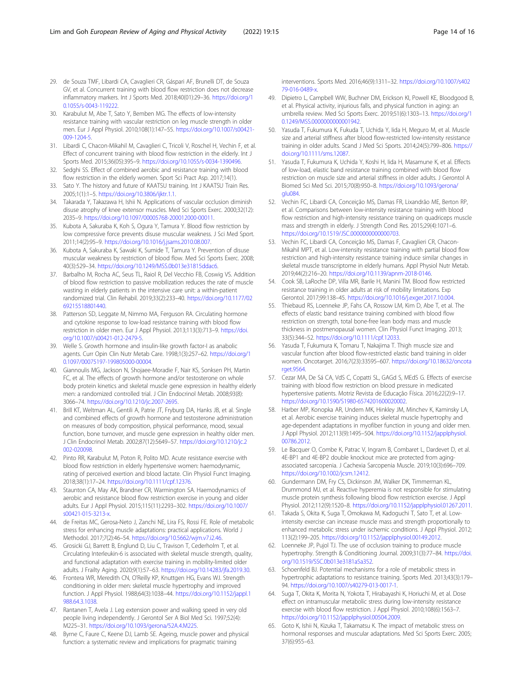- <span id="page-13-0"></span>29. de Souza TMF, Libardi CA, Cavaglieri CR, Gáspari AF, Brunelli DT, de Souza GV, et al. Concurrent training with blood flow restriction does not decrease inflammatory markers. Int J Sports Med. 2018;40(01):29–36. [https://doi.org/1](https://doi.org/10.1055/s-0043-119222) [0.1055/s-0043-119222](https://doi.org/10.1055/s-0043-119222).
- 30. Karabulut M, Abe T, Sato Y, Bemben MG. The effects of low-intensity resistance training with vascular restriction on leg muscle strength in older men. Eur J Appl Physiol. 2010;108(1):147–55. [https://doi.org/10.1007/s00421-](https://doi.org/10.1007/s00421-009-1204-5) [009-1204-5](https://doi.org/10.1007/s00421-009-1204-5).
- 31. Libardi C, Chacon-Mikahil M, Cavaglieri C, Tricoli V, Roschel H, Vechin F, et al. Effect of concurrent training with blood flow restriction in the elderly. Int J Sports Med. 2015;36(05):395–9. <https://doi.org/10.1055/s-0034-1390496>.
- 32. Sedghi SS. Effect of combined aerobic and resistance training with blood flow restriction in the elderly women. Sport Sci Pract Asp. 2017;14(1).
- 33. Sato Y. The history and future of KAATSU training. Int J KAATSU Train Res. 2005;1(1):1–5. [https://doi.org/10.3806/ijktr.1.1.](https://doi.org/10.3806/ijktr.1.1)
- 34. Takarada Y, Takazawa H, Ishii N. Applications of vascular occlusion diminish disuse atrophy of knee extensor muscles. Med Sci Sports Exerc. 2000;32(12): 2035–9. <https://doi.org/10.1097/00005768-200012000-00011>.
- 35. Kubota A, Sakuraba K, Koh S, Ogura Y, Tamura Y. Blood flow restriction by low compressive force prevents disuse muscular weakness. J Sci Med Sport. 2011;14(2):95–9. [https://doi.org/10.1016/j.jsams.2010.08.007.](https://doi.org/10.1016/j.jsams.2010.08.007)
- 36. Kubota A, Sakuraba K, Sawaki K, Sumide T, Tamura Y. Prevention of disuse muscular weakness by restriction of blood flow. Med Sci Sports Exerc. 2008; 40(3):529–34. [https://doi.org/10.1249/MSS.0b013e31815ddac6.](https://doi.org/10.1249/MSS.0b013e31815ddac6)
- 37. Barbalho M, Rocha AC, Seus TL, Raiol R, Del Vecchio FB, Coswig VS. Addition of blood flow restriction to passive mobilization reduces the rate of muscle wasting in elderly patients in the intensive care unit: a within-patient randomized trial. Clin Rehabil. 2019;33(2):233–40. [https://doi.org/10.1177/02](https://doi.org/10.1177/0269215518801440) [69215518801440](https://doi.org/10.1177/0269215518801440).
- 38. Patterson SD, Leggate M, Nimmo MA, Ferguson RA. Circulating hormone and cytokine response to low-load resistance training with blood flow restriction in older men. Eur J Appl Physiol. 2013;113(3):713–9. [https://doi.](https://doi.org/10.1007/s00421-012-2479-5) [org/10.1007/s00421-012-2479-5](https://doi.org/10.1007/s00421-012-2479-5).
- 39. Welle S. Growth hormone and insulin-like growth factor-I as anabolic agents. Curr Opin Clin Nutr Metab Care. 1998;1(3):257–62. [https://doi.org/1](https://doi.org/10.1097/00075197-199805000-00004) [0.1097/00075197-199805000-00004.](https://doi.org/10.1097/00075197-199805000-00004)
- 40. Giannoulis MG, Jackson N, Shojaee-Moradie F, Nair KS, Sonksen PH, Martin FC, et al. The effects of growth hormone and/or testosterone on whole body protein kinetics and skeletal muscle gene expression in healthy elderly men: a randomized controlled trial. J Clin Endocrinol Metab. 2008;93(8): 3066–74. <https://doi.org/10.1210/jc.2007-2695>.
- 41. Brill KT, Weltman AL, Gentili A, Patrie JT, Fryburg DA, Hanks JB, et al. Single and combined effects of growth hormone and testosterone administration on measures of body composition, physical performance, mood, sexual function, bone turnover, and muscle gene expression in healthy older men. J Clin Endocrinol Metab. 2002;87(12):5649–57. [https://doi.org/10.1210/jc.2](https://doi.org/10.1210/jc.2002-020098) [002-020098](https://doi.org/10.1210/jc.2002-020098).
- 42. Pinto RR, Karabulut M, Poton R, Polito MD. Acute resistance exercise with blood flow restriction in elderly hypertensive women: haemodynamic, rating of perceived exertion and blood lactate. Clin Physiol Funct Imaging. 2018;38(1):17–24. [https://doi.org/10.1111/cpf.12376.](https://doi.org/10.1111/cpf.12376)
- 43. Staunton CA, May AK, Brandner CR, Warmington SA. Haemodynamics of aerobic and resistance blood flow restriction exercise in young and older adults. Eur J Appl Physiol. 2015;115(11):2293–302. [https://doi.org/10.1007/](https://doi.org/10.1007/s00421-015-3213-x) [s00421-015-3213-x](https://doi.org/10.1007/s00421-015-3213-x).
- 44. de Freitas MC, Gerosa-Neto J, Zanchi NE, Lira FS, Rossi FE. Role of metabolic stress for enhancing muscle adaptations: practical applications. World J Methodol. 2017;7(2):46–54. <https://doi.org/10.5662/wjm.v7.i2.46>.
- 45. Grosicki GJ, Barrett B, Englund D, Liu C, Travison T, Cederholm T, et al. Circulating Interleukin-6 is associated with skeletal muscle strength, quality, and functional adaptation with exercise training in mobility-limited older adults. J Frailty Aging. 2020;9(1):57–63. <https://doi.org/10.14283/jfa.2019.30>.
- 46. Frontera WR, Meredith CN, O'Reilly KP, Knuttgen HG, Evans WJ. Strength conditioning in older men: skeletal muscle hypertrophy and improved function. J Appl Physiol. 1988;64(3):1038–44. [https://doi.org/10.1152/jappl.1](https://doi.org/10.1152/jappl.1988.64.3.1038) [988.64.3.1038](https://doi.org/10.1152/jappl.1988.64.3.1038).
- 47. Rantanen T, Avela J. Leg extension power and walking speed in very old people living independently. J Gerontol Ser A Biol Med Sci. 1997;52(4): M225–31. <https://doi.org/10.1093/gerona/52A.4.M225>.
- 48. Byrne C, Faure C, Keene DJ, Lamb SE. Ageing, muscle power and physical function: a systematic review and implications for pragmatic training

interventions. Sports Med. 2016;46(9):1311–32. [https://doi.org/10.1007/s402](https://doi.org/10.1007/s40279-016-0489-x) [79-016-0489-x.](https://doi.org/10.1007/s40279-016-0489-x)

- 49. Dipietro L, Campbell WW, Buchner DM, Erickson KI, Powell KE, Bloodgood B, et al. Physical activity, injurious falls, and physical function in aging: an umbrella review. Med Sci Sports Exerc. 2019;51(6):1303–13. [https://doi.org/1](https://doi.org/10.1249/MSS.0000000000001942) [0.1249/MSS.0000000000001942](https://doi.org/10.1249/MSS.0000000000001942).
- 50. Yasuda T, Fukumura K, Fukuda T, Uchida Y, Iida H, Meguro M, et al. Muscle size and arterial stiffness after blood flow-restricted low-intensity resistance training in older adults. Scand J Med Sci Sports. 2014;24(5):799–806. [https://](https://doi.org/10.1111/sms.12087) [doi.org/10.1111/sms.12087.](https://doi.org/10.1111/sms.12087)
- 51. Yasuda T, Fukumura K, Uchida Y, Koshi H, Iida H, Masamune K, et al. Effects of low-load, elastic band resistance training combined with blood flow restriction on muscle size and arterial stiffness in older adults. J Gerontol A Biomed Sci Med Sci. 2015;70(8):950–8. [https://doi.org/10.1093/gerona/](https://doi.org/10.1093/gerona/glu084)  $glu<sub>084</sub>$
- 52. Vechin FC, Libardi CA, Conceição MS, Damas FR, Lixandrão ME, Berton RP, et al. Comparisons between low-intensity resistance training with blood flow restriction and high-intensity resistance training on quadriceps muscle mass and strength in elderly. J Strength Cond Res. 2015;29(4):1071–6. <https://doi.org/10.1519/JSC.0000000000000703>.
- 53. Vechin FC, Libardi CA, Conceição MS, Damas F, Cavaglieri CR, Chacon-Mikahil MPT, et al. Low-intensity resistance training with partial blood flow restriction and high-intensity resistance training induce similar changes in skeletal muscle transcriptome in elderly humans. Appl Physiol Nutr Metab. 2019;44(2):216–20. [https://doi.org/10.1139/apnm-2018-0146.](https://doi.org/10.1139/apnm-2018-0146)
- 54. Cook SB, LaRoche DP, Villa MR, Barile H, Manini TM. Blood flow restricted resistance training in older adults at risk of mobility limitations. Exp Gerontol. 2017;99:138–45. [https://doi.org/10.1016/j.exger.2017.10.004.](https://doi.org/10.1016/j.exger.2017.10.004)
- 55. Thiebaud RS, Loenneke JP, Fahs CA, Rossow LM, Kim D, Abe T, et al. The effects of elastic band resistance training combined with blood flow restriction on strength, total bone-free lean body mass and muscle thickness in postmenopausal women. Clin Physiol Funct Imaging. 2013; 33(5):344–52. <https://doi.org/10.1111/cpf.12033>.
- 56. Yasuda T, Fukumura K, Tomaru T, Nakajima T. Thigh muscle size and vascular function after blood flow-restricted elastic band training in older women. Oncotarget. 2016;7(23):33595–607. [https://doi.org/10.18632/oncota](https://doi.org/10.18632/oncotarget.9564) [rget.9564](https://doi.org/10.18632/oncotarget.9564).
- 57. Cezar MA, De Sá CA, VdS C, Copatti SL, GAGd S, MEdS G. Effects of exercise training with blood flow restriction on blood pressure in medicated hypertensive patients. Motriz Revista de Educação Física. 2016;22(2):9–17. [https://doi.org/10.1590/S1980-6574201600020002.](https://doi.org/10.1590/S1980-6574201600020002)
- 58. Harber MP, Konopka AR, Undem MK, Hinkley JM, Minchev K, Kaminsky LA, et al. Aerobic exercise training induces skeletal muscle hypertrophy and age-dependent adaptations in myofiber function in young and older men. J Appl Physiol. 2012;113(9):1495–504. [https://doi.org/10.1152/japplphysiol.](https://doi.org/10.1152/japplphysiol.00786.2012) [00786.2012.](https://doi.org/10.1152/japplphysiol.00786.2012)
- 59. Le Bacquer O, Combe K, Patrac V, Ingram B, Combaret L, Dardevet D, et al. 4E-BP1 and 4E-BP2 double knockout mice are protected from agingassociated sarcopenia. J Cachexia Sarcopenia Muscle. 2019;10(3):696–709. <https://doi.org/10.1002/jcsm.12412>.
- 60. Gundermann DM, Fry CS, Dickinson JM, Walker DK, Timmerman KL, Drummond MJ, et al. Reactive hyperemia is not responsible for stimulating muscle protein synthesis following blood flow restriction exercise. J Appl Physiol. 2012;112(9):1520–8. <https://doi.org/10.1152/japplphysiol.01267.2011>.
- 61. Takada S, Okita K, Suga T, Omokawa M, Kadoguchi T, Sato T, et al. Lowintensity exercise can increase muscle mass and strength proportionally to enhanced metabolic stress under ischemic conditions. J Appl Physiol. 2012; 113(2):199–205. [https://doi.org/10.1152/japplphysiol.00149.2012.](https://doi.org/10.1152/japplphysiol.00149.2012)
- 62. Loenneke JP, Pujol TJ. The use of occlusion training to produce muscle hypertrophy. Strength & Conditioning Journal. 2009;31(3):77–84. [https://doi.](https://doi.org/10.1519/SSC.0b013e3181a5a352) [org/10.1519/SSC.0b013e3181a5a352](https://doi.org/10.1519/SSC.0b013e3181a5a352).
- 63. Schoenfeld BJ. Potential mechanisms for a role of metabolic stress in hypertrophic adaptations to resistance training. Sports Med. 2013;43(3):179– 94. <https://doi.org/10.1007/s40279-013-0017-1>.
- 64. Suga T, Okita K, Morita N, Yokota T, Hirabayashi K, Horiuchi M, et al. Dose effect on intramuscular metabolic stress during low-intensity resistance exercise with blood flow restriction. J Appl Physiol. 2010;108(6):1563–7. [https://doi.org/10.1152/japplphysiol.00504.2009.](https://doi.org/10.1152/japplphysiol.00504.2009)
- 65. Goto K, Ishii N, Kizuka T, Takamatsu K. The impact of metabolic stress on hormonal responses and muscular adaptations. Med Sci Sports Exerc. 2005; 37(6):955–63.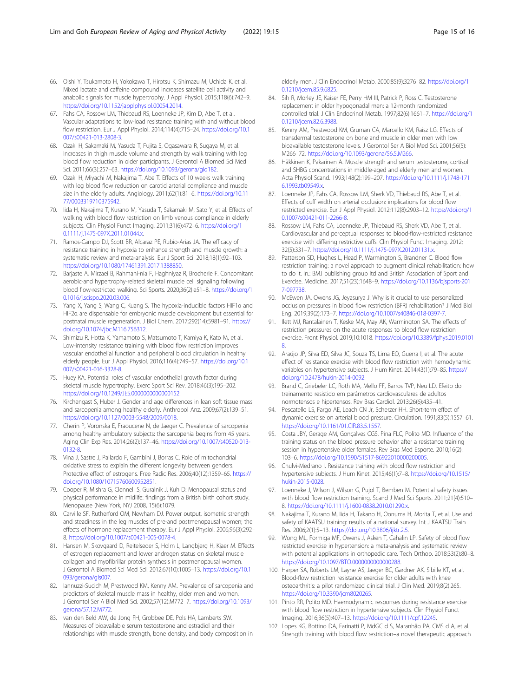- <span id="page-14-0"></span>66. Oishi Y, Tsukamoto H, Yokokawa T, Hirotsu K, Shimazu M, Uchida K, et al. Mixed lactate and caffeine compound increases satellite cell activity and anabolic signals for muscle hypertrophy. J Appl Physiol. 2015;118(6):742–9. [https://doi.org/10.1152/japplphysiol.00054.2014.](https://doi.org/10.1152/japplphysiol.00054.2014)
- 67. Fahs CA, Rossow LM, Thiebaud RS, Loenneke JP, Kim D, Abe T, et al. Vascular adaptations to low-load resistance training with and without blood flow restriction. Eur J Appl Physiol. 2014;114(4):715–24. [https://doi.org/10.1](https://doi.org/10.1007/s00421-013-2808-3) [007/s00421-013-2808-3.](https://doi.org/10.1007/s00421-013-2808-3)
- 68. Ozaki H, Sakamaki M, Yasuda T, Fujita S, Ogasawara R, Sugaya M, et al. Increases in thigh muscle volume and strength by walk training with leg blood flow reduction in older participants. J Gerontol A Biomed Sci Med Sci. 2011;66(3):257–63. [https://doi.org/10.1093/gerona/glq182.](https://doi.org/10.1093/gerona/glq182)
- 69. Ozaki H, Miyachi M, Nakajima T, Abe T. Effects of 10 weeks walk training with leg blood flow reduction on carotid arterial compliance and muscle size in the elderly adults. Angiology. 2011;62(1):81–6. [https://doi.org/10.11](https://doi.org/10.1177/0003319710375942) [77/0003319710375942.](https://doi.org/10.1177/0003319710375942)
- 70. Iida H, Nakajima T, Kurano M, Yasuda T, Sakamaki M, Sato Y, et al. Effects of walking with blood flow restriction on limb venous compliance in elderly subjects. Clin Physiol Funct Imaging. 2011;31(6):472–6. [https://doi.org/1](https://doi.org/10.1111/j.1475-097X.2011.01044.x) [0.1111/j.1475-097X.2011.01044.x](https://doi.org/10.1111/j.1475-097X.2011.01044.x).
- 71. Ramos-Campo DJ, Scott BR, Alcaraz PE, Rubio-Arias JA. The efficacy of resistance training in hypoxia to enhance strength and muscle growth: a systematic review and meta-analysis. Eur J Sport Sci. 2018;18(1):92–103. <https://doi.org/10.1080/17461391.2017.1388850>.
- 72. Barjaste A, Mirzaei B, Rahmani-nia F, Haghniyaz R, Brocherie F. Concomitant aerobic-and hypertrophy-related skeletal muscle cell signaling following blood flow-restricted walking. Sci Sports. 2020;36(2):e51–8. [https://doi.org/1](https://doi.org/10.1016/j.scispo.2020.03.006) [0.1016/j.scispo.2020.03.006.](https://doi.org/10.1016/j.scispo.2020.03.006)
- 73. Yang X, Yang S, Wang C, Kuang S. The hypoxia-inducible factors HIF1α and HIF2α are dispensable for embryonic muscle development but essential for postnatal muscle regeneration. J Biol Chem. 2017;292(14):5981–91. [https://](https://doi.org/10.1074/jbc.M116.756312) [doi.org/10.1074/jbc.M116.756312](https://doi.org/10.1074/jbc.M116.756312).
- 74. Shimizu R, Hotta K, Yamamoto S, Matsumoto T, Kamiya K, Kato M, et al. Low-intensity resistance training with blood flow restriction improves vascular endothelial function and peripheral blood circulation in healthy elderly people. Eur J Appl Physiol. 2016;116(4):749–57. [https://doi.org/10.1](https://doi.org/10.1007/s00421-016-3328-8) [007/s00421-016-3328-8.](https://doi.org/10.1007/s00421-016-3328-8)
- 75. Huey KA. Potential roles of vascular endothelial growth factor during skeletal muscle hypertrophy. Exerc Sport Sci Rev. 2018;46(3):195–202. [https://doi.org/10.1249/JES.0000000000000152.](https://doi.org/10.1249/JES.0000000000000152)
- 76. Kirchengast S, Huber J. Gender and age differences in lean soft tissue mass and sarcopenia among healthy elderly. Anthropol Anz. 2009;67(2):139–51. <https://doi.org/10.1127/0003-5548/2009/0018>.
- 77. Cherin P, Voronska E, Fraoucene N, de Jaeger C. Prevalence of sarcopenia among healthy ambulatory subjects: the sarcopenia begins from 45 years. Aging Clin Exp Res. 2014;26(2):137–46. [https://doi.org/10.1007/s40520-013-](https://doi.org/10.1007/s40520-013-0132-8) [0132-8.](https://doi.org/10.1007/s40520-013-0132-8)
- 78. Vina J, Sastre J, Pallardo F, Gambini J, Borras C. Role of mitochondrial oxidative stress to explain the different longevity between genders. Protective effect of estrogens. Free Radic Res. 2006;40(12):1359–65. [https://](https://doi.org/10.1080/10715760600952851) [doi.org/10.1080/10715760600952851](https://doi.org/10.1080/10715760600952851).
- 79. Cooper R, Mishra G, Clennell S, Guralnik J, Kuh D: Menopausal status and physical performance in midlife: findings from a British birth cohort study. Menopause (New York, NY) 2008, 15(6):1079.
- 80. Carville SF, Rutherford OM, Newham DJ. Power output, isometric strength and steadiness in the leg muscles of pre-and postmenopausal women; the effects of hormone replacement therapy. Eur J Appl Physiol. 2006;96(3):292– 8. [https://doi.org/10.1007/s00421-005-0078-4.](https://doi.org/10.1007/s00421-005-0078-4)
- 81. Hansen M, Skovgaard D, Reitelseder S, Holm L, Langbjerg H, Kjaer M. Effects of estrogen replacement and lower androgen status on skeletal muscle collagen and myofibrillar protein synthesis in postmenopausal women. J Gerontol A Biomed Sci Med Sci. 2012;67(10):1005–13. [https://doi.org/10.1](https://doi.org/10.1093/gerona/gls007) [093/gerona/gls007](https://doi.org/10.1093/gerona/gls007).
- 82. Iannuzzi-Sucich M, Prestwood KM, Kenny AM. Prevalence of sarcopenia and predictors of skeletal muscle mass in healthy, older men and women. J Gerontol Ser A Biol Med Sci. 2002;57(12):M772–7. [https://doi.org/10.1093/](https://doi.org/10.1093/gerona/57.12.M772) [gerona/57.12.M772.](https://doi.org/10.1093/gerona/57.12.M772)
- 83. van den Beld AW, de Jong FH, Grobbee DE, Pols HA, Lamberts SW. Measures of bioavailable serum testosterone and estradiol and their relationships with muscle strength, bone density, and body composition in

elderly men. J Clin Endocrinol Metab. 2000;85(9):3276–82. [https://doi.org/1](https://doi.org/10.1210/jcem.85.9.6825) [0.1210/jcem.85.9.6825.](https://doi.org/10.1210/jcem.85.9.6825)

- 84. Sih R, Morley JE, Kaiser FE, Perry HM III, Patrick P, Ross C. Testosterone replacement in older hypogonadal men: a 12-month randomized controlled trial. J Clin Endocrinol Metab. 1997;82(6):1661–7. [https://doi.org/1](https://doi.org/10.1210/jcem.82.6.3988) [0.1210/jcem.82.6.3988.](https://doi.org/10.1210/jcem.82.6.3988)
- 85. Kenny AM, Prestwood KM, Gruman CA, Marcello KM, Raisz LG. Effects of transdermal testosterone on bone and muscle in older men with low bioavailable testosterone levels. J Gerontol Ser A Biol Med Sci. 2001;56(5): M266–72. <https://doi.org/10.1093/gerona/56.5.M266>.
- 86. Häkkinen K, Pakarinen A. Muscle strength and serum testosterone, cortisol and SHBG concentrations in middle-aged and elderly men and women. Acta Physiol Scand. 1993;148(2):199–207. [https://doi.org/10.1111/j.1748-171](https://doi.org/10.1111/j.1748-1716.1993.tb09549.x) [6.1993.tb09549.x](https://doi.org/10.1111/j.1748-1716.1993.tb09549.x).
- 87. Loenneke JP, Fahs CA, Rossow LM, Sherk VD, Thiebaud RS, Abe T, et al. Effects of cuff width on arterial occlusion: implications for blood flow restricted exercise. Eur J Appl Physiol. 2012;112(8):2903–12. [https://doi.org/1](https://doi.org/10.1007/s00421-011-2266-8) [0.1007/s00421-011-2266-8.](https://doi.org/10.1007/s00421-011-2266-8)
- 88. Rossow LM, Fahs CA, Loenneke JP, Thiebaud RS, Sherk VD, Abe T, et al. Cardiovascular and perceptual responses to blood-flow-restricted resistance exercise with differing restrictive cuffs. Clin Physiol Funct Imaging. 2012; 32(5):331–7. <https://doi.org/10.1111/j.1475-097X.2012.01131.x>.
- 89. Patterson SD, Hughes L, Head P, Warmington S, Brandner C. Blood flow restriction training: a novel approach to augment clinical rehabilitation: how to do it. In.: BMJ publishing group ltd and British Association of Sport and Exercise. Medicine. 2017;51(23):1648–9. [https://doi.org/10.1136/bjsports-201](https://doi.org/10.1136/bjsports-2017-097738) [7-097738.](https://doi.org/10.1136/bjsports-2017-097738)
- 90. McEwen JA, Owens JG, Jeyasurya J. Why is it crucial to use personalized occlusion pressures in blood flow restriction (BFR) rehabilitation? J Med Biol Eng. 2019;39(2):173–7. [https://doi.org/10.1007/s40846-018-0397-7.](https://doi.org/10.1007/s40846-018-0397-7)
- 91. Ilett MJ, Rantalainen T, Keske MA, May AK, Warmington SA. The effects of restriction pressures on the acute responses to blood flow restriction exercise. Front Physiol. 2019;10:1018. [https://doi.org/10.3389/fphys.2019.0101](https://doi.org/10.3389/fphys.2019.01018) [8](https://doi.org/10.3389/fphys.2019.01018).
- 92. Araújo JP, Silva ED, Silva JC, Souza TS, Lima EO, Guerra I, et al. The acute effect of resistance exercise with blood flow restriction with hemodynamic variables on hypertensive subjects. J Hum Kinet. 2014;43(1):79–85. [https://](https://doi.org/10.2478/hukin-2014-0092) [doi.org/10.2478/hukin-2014-0092.](https://doi.org/10.2478/hukin-2014-0092)
- 93. Brand C, Griebeler LC, Roth MA, Mello FF, Barros TVP, Neu LD. Efeito do treinamento resistido em parâmetros cardiovasculares de adultos normotensos e hipertensos. Rev Bras Cardiol. 2013;26(6):435–41.
- 94. Pescatello LS, Fargo AE, Leach CN Jr, Scherzer HH. Short-term effect of dynamic exercise on arterial blood pressure. Circulation. 1991;83(5):1557–61. <https://doi.org/10.1161/01.CIR.83.5.1557>.
- 95. Costa JBY, Gerage AM, Gonçalves CGS, Pina FLC, Polito MD. Influence of the training status on the blood pressure behavior after a resistance training session in hypertensive older females. Rev Bras Med Esporte. 2010;16(2): 103–6. <https://doi.org/10.1590/S1517-86922010000200005>.
- 96. Chulvi-Medrano I. Resistance training with blood flow restriction and hypertensive subjects. J Hum Kinet. 2015;46(1):7–8. [https://doi.org/10.1515/](https://doi.org/10.1515/hukin-2015-0028) [hukin-2015-0028.](https://doi.org/10.1515/hukin-2015-0028)
- 97. Loenneke J, Wilson J, Wilson G, Pujol T, Bemben M. Potential safety issues with blood flow restriction training. Scand J Med Sci Sports. 2011;21(4):510– 8. <https://doi.org/10.1111/j.1600-0838.2010.01290.x>.
- 98. Nakajima T, Kurano M, Iida H, Takano H, Oonuma H, Morita T, et al. Use and safety of KAATSU training: results of a national survey. Int J KAATSU Train Res. 2006;2(1):5–13. [https://doi.org/10.3806/ijktr.2.5.](https://doi.org/10.3806/ijktr.2.5)
- 99. Wong ML, Formiga MF, Owens J, Asken T, Cahalin LP. Safety of blood flow restricted exercise in hypertension: a meta-analysis and systematic review with potential applications in orthopedic care. Tech Orthop. 2018;33(2):80–8. <https://doi.org/10.1097/BTO.0000000000000288>.
- 100. Harper SA, Roberts LM, Layne AS, Jaeger BC, Gardner AK, Sibille KT, et al. Blood-flow restriction resistance exercise for older adults with knee osteoarthritis: a pilot randomized clinical trial. J Clin Med. 2019;8(2):265. <https://doi.org/10.3390/jcm8020265>.
- 101. Pinto RR, Polito MD. Haemodynamic responses during resistance exercise with blood flow restriction in hypertensive subjects. Clin Physiol Funct Imaging. 2016;36(5):407–13. [https://doi.org/10.1111/cpf.12245.](https://doi.org/10.1111/cpf.12245)
- 102. Lopes KG, Bottino DA, Farinatti P, MdGC d S, Maranhão PA, CMS d A, et al. Strength training with blood flow restriction–a novel therapeutic approach